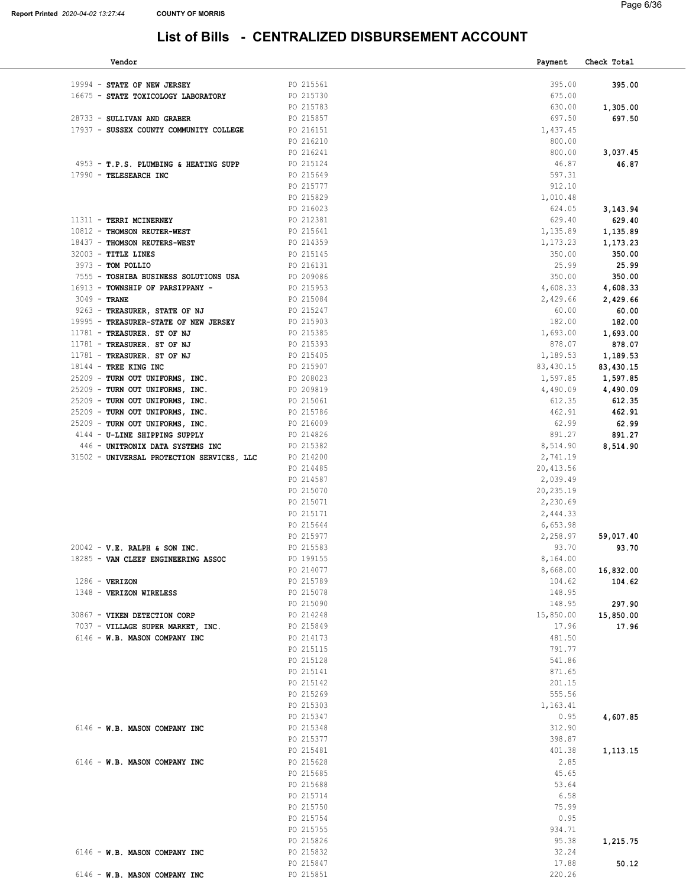### List of Bills - CENTRALIZED DISBURSEMENT ACCOUNT

| Vendor                                                             |                        | Payment          | Check Total        |
|--------------------------------------------------------------------|------------------------|------------------|--------------------|
| 19994 - STATE OF NEW JERSEY                                        | PO 215561              | 395.00           | 395.00             |
| 16675 - STATE TOXICOLOGY LABORATORY                                | PO 215730              | 675.00           |                    |
|                                                                    | PO 215783              | 630.00           |                    |
| 28733 - SULLIVAN AND GRABER                                        | PO 215857              | 697.50           | 1,305.00<br>697.50 |
| 17937 - SUSSEX COUNTY COMMUNITY COLLEGE                            | PO 216151              | 1,437.45         |                    |
|                                                                    | PO 216210              | 800.00           |                    |
|                                                                    | PO 216241              | 800.00           | 3,037.45           |
| 4953 - T.P.S. PLUMBING & HEATING SUPP                              | PO 215124              | 46.87            | 46.87              |
| 17990 - TELESEARCH INC                                             | PO 215649              | 597.31           |                    |
|                                                                    | PO 215777              | 912.10           |                    |
|                                                                    | PO 215829              | 1,010.48         |                    |
|                                                                    | PO 216023              | 624.05           | 3,143.94           |
| 11311 - TERRI MCINERNEY                                            | PO 212381              | 629.40           | 629.40             |
| 10812 - THOMSON REUTER-WEST                                        | PO 215641              | 1,135.89         | 1,135.89           |
| 18437 - THOMSON REUTERS-WEST                                       | PO 214359              | 1,173.23         | 1,173.23           |
| $32003$ - TITLE LINES                                              | PO 215145              | 350.00           | 350.00             |
| 3973 - TOM POLLIO                                                  | PO 216131              | 25.99            | 25.99              |
| 7555 - TOSHIBA BUSINESS SOLUTIONS USA                              | PO 209086              | 350.00           | 350.00             |
| 16913 - TOWNSHIP OF PARSIPPANY -                                   | PO 215953              | 4,608.33         | 4,608.33           |
| $3049$ - TRANE                                                     | PO 215084              | 2,429.66         | 2,429.66           |
| 9263 - TREASURER, STATE OF NJ                                      | PO 215247              | 60.00            | 60.00              |
| 19995 - TREASURER-STATE OF NEW JERSEY                              | PO 215903              | 182.00           | 182.00             |
| 11781 - TREASURER. ST OF NJ                                        | PO 215385              | 1,693.00         | 1,693.00           |
| 11781 - TREASURER. ST OF NJ                                        | PO 215393              | 878.07           | 878.07             |
| 11781 - TREASURER. ST OF NJ                                        | PO 215405              | 1,189.53         | 1,189.53           |
| 18144 - TREE KING INC                                              | PO 215907              | 83,430.15        | 83,430.15          |
| 25209 - TURN OUT UNIFORMS, INC.                                    | PO 208023              | 1,597.85         | 1,597.85           |
| 25209 - TURN OUT UNIFORMS, INC.                                    | PO 209819              | 4,490.09         | 4,490.09           |
| 25209 - TURN OUT UNIFORMS, INC.<br>25209 - TURN OUT UNIFORMS, INC. | PO 215061<br>PO 215786 | 612.35<br>462.91 | 612.35<br>462.91   |
| 25209 - TURN OUT UNIFORMS, INC.                                    | PO 216009              | 62.99            | 62.99              |
| 4144 - U-LINE SHIPPING SUPPLY                                      | PO 214826              | 891.27           | 891.27             |
| 446 - UNITRONIX DATA SYSTEMS INC                                   | PO 215382              | 8,514.90         | 8,514.90           |
| 31502 - UNIVERSAL PROTECTION SERVICES, LLC                         | PO 214200              | 2,741.19         |                    |
|                                                                    | PO 214485              | 20, 413.56       |                    |
|                                                                    | PO 214587              | 2,039.49         |                    |
|                                                                    | PO 215070              | 20,235.19        |                    |
|                                                                    | PO 215071              | 2,230.69         |                    |
|                                                                    | PO 215171              | 2,444.33         |                    |
|                                                                    | PO 215644              | 6,653.98         |                    |
|                                                                    | PO 215977              | 2,258.97         | 59,017.40          |
| $20042 - V.E. RALPH & SON INC.$                                    | PO 215583              | 93.70            | 93.70              |
| 18285 - VAN CLEEF ENGINEERING ASSOC                                | PO 199155              | 8,164.00         |                    |
|                                                                    | PO 214077              | 8,668.00         | 16,832.00          |
| $1286$ - VERIZON                                                   | PO 215789              | 104.62           | 104.62             |
| 1348 - VERIZON WIRELESS                                            | PO 215078              | 148.95           |                    |
|                                                                    | PO 215090              | 148.95           | 297.90             |
| 30867 - VIKEN DETECTION CORP                                       | PO 214248              | 15,850.00        | 15,850.00          |
| 7037 - VILLAGE SUPER MARKET, INC.                                  | PO 215849              | 17.96            | 17.96              |
| 6146 - W.B. MASON COMPANY INC                                      | PO 214173              | 481.50           |                    |
|                                                                    | PO 215115              | 791.77           |                    |
|                                                                    | PO 215128              | 541.86           |                    |
|                                                                    | PO 215141<br>PO 215142 | 871.65<br>201.15 |                    |
|                                                                    | PO 215269              | 555.56           |                    |
|                                                                    | PO 215303              | 1,163.41         |                    |
|                                                                    | PO 215347              | 0.95             | 4,607.85           |
| 6146 - W.B. MASON COMPANY INC                                      | PO 215348              | 312.90           |                    |
|                                                                    | PO 215377              | 398.87           |                    |
|                                                                    | PO 215481              | 401.38           | 1,113.15           |
| 6146 - W.B. MASON COMPANY INC                                      | PO 215628              | 2.85             |                    |
|                                                                    | PO 215685              | 45.65            |                    |
|                                                                    | PO 215688              | 53.64            |                    |
|                                                                    | PO 215714              | 6.58             |                    |
|                                                                    | PO 215750              | 75.99            |                    |
|                                                                    | PO 215754              | 0.95             |                    |
|                                                                    | PO 215755              | 934.71           |                    |
|                                                                    | PO 215826              | 95.38            | 1,215.75           |
| 6146 - W.B. MASON COMPANY INC                                      | PO 215832              | 32.24            |                    |
|                                                                    | PO 215847              | 17.88            | 50.12              |
| 6146 - W.B. MASON COMPANY INC                                      | PO 215851              | 220.26           |                    |
|                                                                    |                        |                  |                    |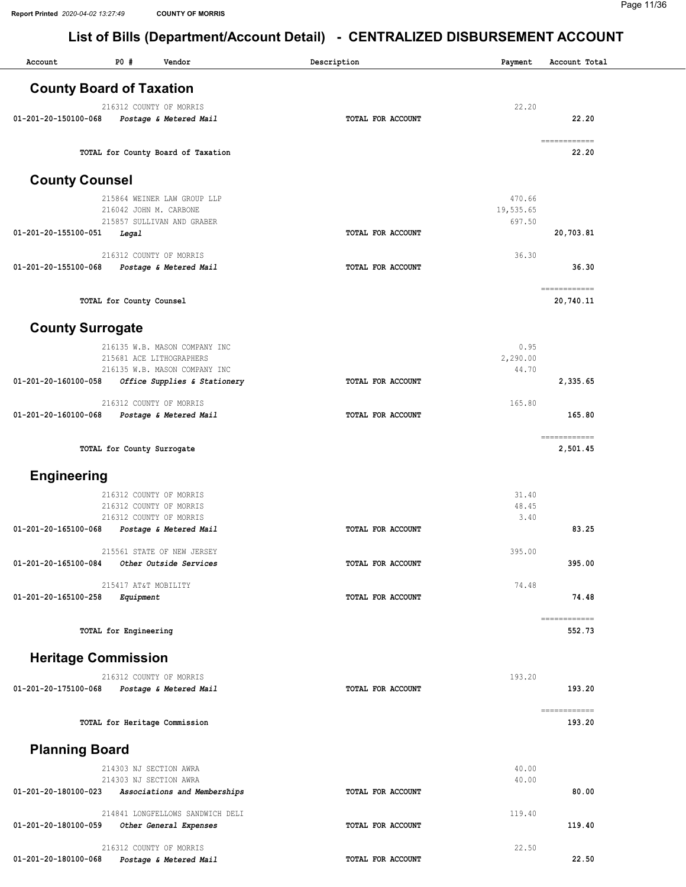| <b>County Board of Taxation</b><br>22.20<br>216312 COUNTY OF MORRIS<br>22.20<br>01-201-20-150100-068<br>TOTAL FOR ACCOUNT<br>Postage & Metered Mail<br>$\begin{minipage}{0.03\linewidth} \hspace*{0.2cm} \textbf{1} & \textbf{1} & \textbf{1} & \textbf{1} \\ \textbf{1} & \textbf{1} & \textbf{1} & \textbf{1} \\ \textbf{1} & \textbf{1} & \textbf{1} & \textbf{1} \\ \textbf{1} & \textbf{1} & \textbf{1} & \textbf{1} \\ \textbf{1} & \textbf{1} & \textbf{1} & \textbf{1} \\ \textbf{1} & \textbf{1} & \textbf{1} & \textbf{1} \\ \textbf{1} & \textbf{1} & \textbf{1} & \textbf{1} \\$<br>22.20<br>TOTAL for County Board of Taxation<br><b>County Counsel</b><br>470.66<br>215864 WEINER LAW GROUP LLP<br>19,535.65<br>216042 JOHN M. CARBONE<br>697.50<br>215857 SULLIVAN AND GRABER<br>01-201-20-155100-051<br>Legal<br>TOTAL FOR ACCOUNT<br>20,703.81<br>36.30<br>216312 COUNTY OF MORRIS<br>36.30<br>01-201-20-155100-068<br>TOTAL FOR ACCOUNT<br>Postage & Metered Mail<br>============<br>TOTAL for County Counsel<br>20,740.11<br><b>County Surrogate</b><br>216135 W.B. MASON COMPANY INC<br>0.95<br>2,290.00<br>215681 ACE LITHOGRAPHERS<br>216135 W.B. MASON COMPANY INC<br>44.70<br>01-201-20-160100-058<br>2,335.65<br>Office Supplies & Stationery<br>TOTAL FOR ACCOUNT<br>216312 COUNTY OF MORRIS<br>165.80<br>165.80<br>01-201-20-160100-068<br>Postage & Metered Mail<br>TOTAL FOR ACCOUNT<br>TOTAL for County Surrogate<br>2,501.45<br><b>Engineering</b><br>216312 COUNTY OF MORRIS<br>31.40<br>48.45<br>216312 COUNTY OF MORRIS<br>216312 COUNTY OF MORRIS<br>3.40<br>01-201-20-165100-068<br>Postage & Metered Mail<br>83.25<br>TOTAL FOR ACCOUNT<br>215561 STATE OF NEW JERSEY<br>395.00<br>01-201-20-165100-084<br>Other Outside Services<br>TOTAL FOR ACCOUNT<br>395.00<br>74.48<br>215417 AT&T MOBILITY<br>01-201-20-165100-258<br>74.48<br>Equipment<br>TOTAL FOR ACCOUNT<br>$=$ ===========<br>TOTAL for Engineering<br>552.73<br><b>Heritage Commission</b><br>193.20<br>216312 COUNTY OF MORRIS<br>193.20<br>01-201-20-175100-068<br>TOTAL FOR ACCOUNT<br>Postage & Metered Mail<br>------------<br>TOTAL for Heritage Commission<br>193.20<br><b>Planning Board</b><br>214303 NJ SECTION AWRA<br>40.00<br>214303 NJ SECTION AWRA<br>40.00<br>01-201-20-180100-023<br>80.00<br>Associations and Memberships<br>TOTAL FOR ACCOUNT<br>214841 LONGFELLOWS SANDWICH DELI<br>119.40<br>01-201-20-180100-059<br>119.40<br>Other General Expenses<br>TOTAL FOR ACCOUNT<br>216312 COUNTY OF MORRIS<br>22.50<br>22.50<br>Postage & Metered Mail<br>01-201-20-180100-068<br>TOTAL FOR ACCOUNT | Account | P0# | Vendor | Description | Payment | Account Total |
|------------------------------------------------------------------------------------------------------------------------------------------------------------------------------------------------------------------------------------------------------------------------------------------------------------------------------------------------------------------------------------------------------------------------------------------------------------------------------------------------------------------------------------------------------------------------------------------------------------------------------------------------------------------------------------------------------------------------------------------------------------------------------------------------------------------------------------------------------------------------------------------------------------------------------------------------------------------------------------------------------------------------------------------------------------------------------------------------------------------------------------------------------------------------------------------------------------------------------------------------------------------------------------------------------------------------------------------------------------------------------------------------------------------------------------------------------------------------------------------------------------------------------------------------------------------------------------------------------------------------------------------------------------------------------------------------------------------------------------------------------------------------------------------------------------------------------------------------------------------------------------------------------------------------------------------------------------------------------------------------------------------------------------------------------------------------------------------------------------------------------------------------------------------------------------------------------------------------------------------------------------------------------------------------------------------------------------------------------------------------------------------------------------------------------------------------------------------------------------------------------------------------------------------------------------------------------------------------------------------------|---------|-----|--------|-------------|---------|---------------|
|                                                                                                                                                                                                                                                                                                                                                                                                                                                                                                                                                                                                                                                                                                                                                                                                                                                                                                                                                                                                                                                                                                                                                                                                                                                                                                                                                                                                                                                                                                                                                                                                                                                                                                                                                                                                                                                                                                                                                                                                                                                                                                                                                                                                                                                                                                                                                                                                                                                                                                                                                                                                                        |         |     |        |             |         |               |
|                                                                                                                                                                                                                                                                                                                                                                                                                                                                                                                                                                                                                                                                                                                                                                                                                                                                                                                                                                                                                                                                                                                                                                                                                                                                                                                                                                                                                                                                                                                                                                                                                                                                                                                                                                                                                                                                                                                                                                                                                                                                                                                                                                                                                                                                                                                                                                                                                                                                                                                                                                                                                        |         |     |        |             |         |               |
|                                                                                                                                                                                                                                                                                                                                                                                                                                                                                                                                                                                                                                                                                                                                                                                                                                                                                                                                                                                                                                                                                                                                                                                                                                                                                                                                                                                                                                                                                                                                                                                                                                                                                                                                                                                                                                                                                                                                                                                                                                                                                                                                                                                                                                                                                                                                                                                                                                                                                                                                                                                                                        |         |     |        |             |         |               |
|                                                                                                                                                                                                                                                                                                                                                                                                                                                                                                                                                                                                                                                                                                                                                                                                                                                                                                                                                                                                                                                                                                                                                                                                                                                                                                                                                                                                                                                                                                                                                                                                                                                                                                                                                                                                                                                                                                                                                                                                                                                                                                                                                                                                                                                                                                                                                                                                                                                                                                                                                                                                                        |         |     |        |             |         |               |
|                                                                                                                                                                                                                                                                                                                                                                                                                                                                                                                                                                                                                                                                                                                                                                                                                                                                                                                                                                                                                                                                                                                                                                                                                                                                                                                                                                                                                                                                                                                                                                                                                                                                                                                                                                                                                                                                                                                                                                                                                                                                                                                                                                                                                                                                                                                                                                                                                                                                                                                                                                                                                        |         |     |        |             |         |               |
|                                                                                                                                                                                                                                                                                                                                                                                                                                                                                                                                                                                                                                                                                                                                                                                                                                                                                                                                                                                                                                                                                                                                                                                                                                                                                                                                                                                                                                                                                                                                                                                                                                                                                                                                                                                                                                                                                                                                                                                                                                                                                                                                                                                                                                                                                                                                                                                                                                                                                                                                                                                                                        |         |     |        |             |         |               |
|                                                                                                                                                                                                                                                                                                                                                                                                                                                                                                                                                                                                                                                                                                                                                                                                                                                                                                                                                                                                                                                                                                                                                                                                                                                                                                                                                                                                                                                                                                                                                                                                                                                                                                                                                                                                                                                                                                                                                                                                                                                                                                                                                                                                                                                                                                                                                                                                                                                                                                                                                                                                                        |         |     |        |             |         |               |
|                                                                                                                                                                                                                                                                                                                                                                                                                                                                                                                                                                                                                                                                                                                                                                                                                                                                                                                                                                                                                                                                                                                                                                                                                                                                                                                                                                                                                                                                                                                                                                                                                                                                                                                                                                                                                                                                                                                                                                                                                                                                                                                                                                                                                                                                                                                                                                                                                                                                                                                                                                                                                        |         |     |        |             |         |               |
|                                                                                                                                                                                                                                                                                                                                                                                                                                                                                                                                                                                                                                                                                                                                                                                                                                                                                                                                                                                                                                                                                                                                                                                                                                                                                                                                                                                                                                                                                                                                                                                                                                                                                                                                                                                                                                                                                                                                                                                                                                                                                                                                                                                                                                                                                                                                                                                                                                                                                                                                                                                                                        |         |     |        |             |         |               |
|                                                                                                                                                                                                                                                                                                                                                                                                                                                                                                                                                                                                                                                                                                                                                                                                                                                                                                                                                                                                                                                                                                                                                                                                                                                                                                                                                                                                                                                                                                                                                                                                                                                                                                                                                                                                                                                                                                                                                                                                                                                                                                                                                                                                                                                                                                                                                                                                                                                                                                                                                                                                                        |         |     |        |             |         |               |
|                                                                                                                                                                                                                                                                                                                                                                                                                                                                                                                                                                                                                                                                                                                                                                                                                                                                                                                                                                                                                                                                                                                                                                                                                                                                                                                                                                                                                                                                                                                                                                                                                                                                                                                                                                                                                                                                                                                                                                                                                                                                                                                                                                                                                                                                                                                                                                                                                                                                                                                                                                                                                        |         |     |        |             |         |               |
|                                                                                                                                                                                                                                                                                                                                                                                                                                                                                                                                                                                                                                                                                                                                                                                                                                                                                                                                                                                                                                                                                                                                                                                                                                                                                                                                                                                                                                                                                                                                                                                                                                                                                                                                                                                                                                                                                                                                                                                                                                                                                                                                                                                                                                                                                                                                                                                                                                                                                                                                                                                                                        |         |     |        |             |         |               |
|                                                                                                                                                                                                                                                                                                                                                                                                                                                                                                                                                                                                                                                                                                                                                                                                                                                                                                                                                                                                                                                                                                                                                                                                                                                                                                                                                                                                                                                                                                                                                                                                                                                                                                                                                                                                                                                                                                                                                                                                                                                                                                                                                                                                                                                                                                                                                                                                                                                                                                                                                                                                                        |         |     |        |             |         |               |
|                                                                                                                                                                                                                                                                                                                                                                                                                                                                                                                                                                                                                                                                                                                                                                                                                                                                                                                                                                                                                                                                                                                                                                                                                                                                                                                                                                                                                                                                                                                                                                                                                                                                                                                                                                                                                                                                                                                                                                                                                                                                                                                                                                                                                                                                                                                                                                                                                                                                                                                                                                                                                        |         |     |        |             |         |               |
|                                                                                                                                                                                                                                                                                                                                                                                                                                                                                                                                                                                                                                                                                                                                                                                                                                                                                                                                                                                                                                                                                                                                                                                                                                                                                                                                                                                                                                                                                                                                                                                                                                                                                                                                                                                                                                                                                                                                                                                                                                                                                                                                                                                                                                                                                                                                                                                                                                                                                                                                                                                                                        |         |     |        |             |         |               |
|                                                                                                                                                                                                                                                                                                                                                                                                                                                                                                                                                                                                                                                                                                                                                                                                                                                                                                                                                                                                                                                                                                                                                                                                                                                                                                                                                                                                                                                                                                                                                                                                                                                                                                                                                                                                                                                                                                                                                                                                                                                                                                                                                                                                                                                                                                                                                                                                                                                                                                                                                                                                                        |         |     |        |             |         |               |
|                                                                                                                                                                                                                                                                                                                                                                                                                                                                                                                                                                                                                                                                                                                                                                                                                                                                                                                                                                                                                                                                                                                                                                                                                                                                                                                                                                                                                                                                                                                                                                                                                                                                                                                                                                                                                                                                                                                                                                                                                                                                                                                                                                                                                                                                                                                                                                                                                                                                                                                                                                                                                        |         |     |        |             |         |               |
|                                                                                                                                                                                                                                                                                                                                                                                                                                                                                                                                                                                                                                                                                                                                                                                                                                                                                                                                                                                                                                                                                                                                                                                                                                                                                                                                                                                                                                                                                                                                                                                                                                                                                                                                                                                                                                                                                                                                                                                                                                                                                                                                                                                                                                                                                                                                                                                                                                                                                                                                                                                                                        |         |     |        |             |         |               |
|                                                                                                                                                                                                                                                                                                                                                                                                                                                                                                                                                                                                                                                                                                                                                                                                                                                                                                                                                                                                                                                                                                                                                                                                                                                                                                                                                                                                                                                                                                                                                                                                                                                                                                                                                                                                                                                                                                                                                                                                                                                                                                                                                                                                                                                                                                                                                                                                                                                                                                                                                                                                                        |         |     |        |             |         |               |
|                                                                                                                                                                                                                                                                                                                                                                                                                                                                                                                                                                                                                                                                                                                                                                                                                                                                                                                                                                                                                                                                                                                                                                                                                                                                                                                                                                                                                                                                                                                                                                                                                                                                                                                                                                                                                                                                                                                                                                                                                                                                                                                                                                                                                                                                                                                                                                                                                                                                                                                                                                                                                        |         |     |        |             |         |               |
|                                                                                                                                                                                                                                                                                                                                                                                                                                                                                                                                                                                                                                                                                                                                                                                                                                                                                                                                                                                                                                                                                                                                                                                                                                                                                                                                                                                                                                                                                                                                                                                                                                                                                                                                                                                                                                                                                                                                                                                                                                                                                                                                                                                                                                                                                                                                                                                                                                                                                                                                                                                                                        |         |     |        |             |         |               |
|                                                                                                                                                                                                                                                                                                                                                                                                                                                                                                                                                                                                                                                                                                                                                                                                                                                                                                                                                                                                                                                                                                                                                                                                                                                                                                                                                                                                                                                                                                                                                                                                                                                                                                                                                                                                                                                                                                                                                                                                                                                                                                                                                                                                                                                                                                                                                                                                                                                                                                                                                                                                                        |         |     |        |             |         |               |
|                                                                                                                                                                                                                                                                                                                                                                                                                                                                                                                                                                                                                                                                                                                                                                                                                                                                                                                                                                                                                                                                                                                                                                                                                                                                                                                                                                                                                                                                                                                                                                                                                                                                                                                                                                                                                                                                                                                                                                                                                                                                                                                                                                                                                                                                                                                                                                                                                                                                                                                                                                                                                        |         |     |        |             |         |               |
|                                                                                                                                                                                                                                                                                                                                                                                                                                                                                                                                                                                                                                                                                                                                                                                                                                                                                                                                                                                                                                                                                                                                                                                                                                                                                                                                                                                                                                                                                                                                                                                                                                                                                                                                                                                                                                                                                                                                                                                                                                                                                                                                                                                                                                                                                                                                                                                                                                                                                                                                                                                                                        |         |     |        |             |         |               |
|                                                                                                                                                                                                                                                                                                                                                                                                                                                                                                                                                                                                                                                                                                                                                                                                                                                                                                                                                                                                                                                                                                                                                                                                                                                                                                                                                                                                                                                                                                                                                                                                                                                                                                                                                                                                                                                                                                                                                                                                                                                                                                                                                                                                                                                                                                                                                                                                                                                                                                                                                                                                                        |         |     |        |             |         |               |
|                                                                                                                                                                                                                                                                                                                                                                                                                                                                                                                                                                                                                                                                                                                                                                                                                                                                                                                                                                                                                                                                                                                                                                                                                                                                                                                                                                                                                                                                                                                                                                                                                                                                                                                                                                                                                                                                                                                                                                                                                                                                                                                                                                                                                                                                                                                                                                                                                                                                                                                                                                                                                        |         |     |        |             |         |               |
|                                                                                                                                                                                                                                                                                                                                                                                                                                                                                                                                                                                                                                                                                                                                                                                                                                                                                                                                                                                                                                                                                                                                                                                                                                                                                                                                                                                                                                                                                                                                                                                                                                                                                                                                                                                                                                                                                                                                                                                                                                                                                                                                                                                                                                                                                                                                                                                                                                                                                                                                                                                                                        |         |     |        |             |         |               |
|                                                                                                                                                                                                                                                                                                                                                                                                                                                                                                                                                                                                                                                                                                                                                                                                                                                                                                                                                                                                                                                                                                                                                                                                                                                                                                                                                                                                                                                                                                                                                                                                                                                                                                                                                                                                                                                                                                                                                                                                                                                                                                                                                                                                                                                                                                                                                                                                                                                                                                                                                                                                                        |         |     |        |             |         |               |
|                                                                                                                                                                                                                                                                                                                                                                                                                                                                                                                                                                                                                                                                                                                                                                                                                                                                                                                                                                                                                                                                                                                                                                                                                                                                                                                                                                                                                                                                                                                                                                                                                                                                                                                                                                                                                                                                                                                                                                                                                                                                                                                                                                                                                                                                                                                                                                                                                                                                                                                                                                                                                        |         |     |        |             |         |               |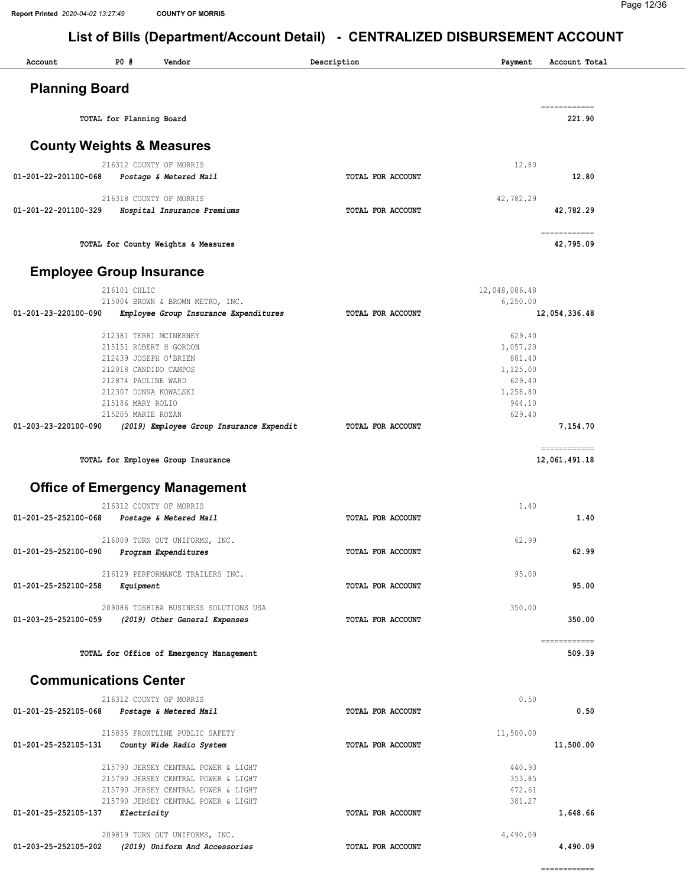#### Page 12/36

| Account                      | P0#<br>Vendor                                          | Description       | Payment       | Account Total                                                                                                                                                                                                                                                                                                                                                                                                                                                                                    |
|------------------------------|--------------------------------------------------------|-------------------|---------------|--------------------------------------------------------------------------------------------------------------------------------------------------------------------------------------------------------------------------------------------------------------------------------------------------------------------------------------------------------------------------------------------------------------------------------------------------------------------------------------------------|
| <b>Planning Board</b>        |                                                        |                   |               |                                                                                                                                                                                                                                                                                                                                                                                                                                                                                                  |
|                              | TOTAL for Planning Board                               |                   |               | ecceccecece<br>221.90                                                                                                                                                                                                                                                                                                                                                                                                                                                                            |
|                              | <b>County Weights &amp; Measures</b>                   |                   |               |                                                                                                                                                                                                                                                                                                                                                                                                                                                                                                  |
|                              | 216312 COUNTY OF MORRIS                                |                   | 12.80         |                                                                                                                                                                                                                                                                                                                                                                                                                                                                                                  |
| 01-201-22-201100-068         | Postage & Metered Mail                                 | TOTAL FOR ACCOUNT |               | 12.80                                                                                                                                                                                                                                                                                                                                                                                                                                                                                            |
| 01-201-22-201100-329         | 216318 COUNTY OF MORRIS<br>Hospital Insurance Premiums | TOTAL FOR ACCOUNT | 42,782.29     | 42,782.29                                                                                                                                                                                                                                                                                                                                                                                                                                                                                        |
|                              | TOTAL for County Weights & Measures                    |                   |               | ------------<br>42,795.09                                                                                                                                                                                                                                                                                                                                                                                                                                                                        |
|                              | <b>Employee Group Insurance</b>                        |                   |               |                                                                                                                                                                                                                                                                                                                                                                                                                                                                                                  |
|                              | 216101 CHLIC                                           |                   | 12,048,086.48 |                                                                                                                                                                                                                                                                                                                                                                                                                                                                                                  |
|                              | 215004 BROWN & BROWN METRO, INC.                       |                   | 6,250.00      |                                                                                                                                                                                                                                                                                                                                                                                                                                                                                                  |
| 01-201-23-220100-090         | Employee Group Insurance Expenditures                  | TOTAL FOR ACCOUNT |               | 12,054,336.48                                                                                                                                                                                                                                                                                                                                                                                                                                                                                    |
|                              | 212381 TERRI MCINERNEY                                 |                   | 629.40        |                                                                                                                                                                                                                                                                                                                                                                                                                                                                                                  |
|                              | 215151 ROBERT H GORDON                                 |                   | 1,057.20      |                                                                                                                                                                                                                                                                                                                                                                                                                                                                                                  |
|                              | 212439 JOSEPH O'BRIEN                                  |                   | 881.40        |                                                                                                                                                                                                                                                                                                                                                                                                                                                                                                  |
|                              | 212018 CANDIDO CAMPOS                                  |                   | 1,125.00      |                                                                                                                                                                                                                                                                                                                                                                                                                                                                                                  |
|                              | 212874 PAULINE WARD                                    |                   | 629.40        |                                                                                                                                                                                                                                                                                                                                                                                                                                                                                                  |
|                              | 212307 DONNA KOWALSKI                                  |                   | 1,258.80      |                                                                                                                                                                                                                                                                                                                                                                                                                                                                                                  |
|                              | 215186 MARY ROLIO                                      |                   | 944.10        |                                                                                                                                                                                                                                                                                                                                                                                                                                                                                                  |
|                              | 215205 MARIE ROZAN                                     |                   | 629.40        |                                                                                                                                                                                                                                                                                                                                                                                                                                                                                                  |
| 01-203-23-220100-090         | (2019) Employee Group Insurance Expendit               | TOTAL FOR ACCOUNT |               | 7,154.70                                                                                                                                                                                                                                                                                                                                                                                                                                                                                         |
|                              | TOTAL for Employee Group Insurance                     |                   |               | ============<br>12,061,491.18                                                                                                                                                                                                                                                                                                                                                                                                                                                                    |
|                              |                                                        |                   |               |                                                                                                                                                                                                                                                                                                                                                                                                                                                                                                  |
|                              | <b>Office of Emergency Management</b>                  |                   |               |                                                                                                                                                                                                                                                                                                                                                                                                                                                                                                  |
|                              | 216312 COUNTY OF MORRIS                                |                   | 1.40          |                                                                                                                                                                                                                                                                                                                                                                                                                                                                                                  |
| 01-201-25-252100-068         | Postage & Metered Mail                                 | TOTAL FOR ACCOUNT |               | 1.40                                                                                                                                                                                                                                                                                                                                                                                                                                                                                             |
|                              | 216009 TURN OUT UNIFORMS, INC.                         |                   | 62.99         |                                                                                                                                                                                                                                                                                                                                                                                                                                                                                                  |
| 01-201-25-252100-090         | Program Expenditures                                   | TOTAL FOR ACCOUNT |               | 62.99                                                                                                                                                                                                                                                                                                                                                                                                                                                                                            |
|                              |                                                        |                   |               |                                                                                                                                                                                                                                                                                                                                                                                                                                                                                                  |
|                              | 216129 PERFORMANCE TRAILERS INC.                       |                   | 95.00         |                                                                                                                                                                                                                                                                                                                                                                                                                                                                                                  |
| 01-201-25-252100-258         | Equipment                                              | TOTAL FOR ACCOUNT |               | 95.00                                                                                                                                                                                                                                                                                                                                                                                                                                                                                            |
|                              |                                                        |                   |               |                                                                                                                                                                                                                                                                                                                                                                                                                                                                                                  |
|                              | 209086 TOSHIBA BUSINESS SOLUTIONS USA                  |                   | 350.00        |                                                                                                                                                                                                                                                                                                                                                                                                                                                                                                  |
| 01-203-25-252100-059         | (2019) Other General Expenses                          | TOTAL FOR ACCOUNT |               | 350.00                                                                                                                                                                                                                                                                                                                                                                                                                                                                                           |
|                              | TOTAL for Office of Emergency Management               |                   |               | $\begin{array}{cccccccccc} \multicolumn{2}{c}{} & \multicolumn{2}{c}{} & \multicolumn{2}{c}{} & \multicolumn{2}{c}{} & \multicolumn{2}{c}{} & \multicolumn{2}{c}{} & \multicolumn{2}{c}{} & \multicolumn{2}{c}{} & \multicolumn{2}{c}{} & \multicolumn{2}{c}{} & \multicolumn{2}{c}{} & \multicolumn{2}{c}{} & \multicolumn{2}{c}{} & \multicolumn{2}{c}{} & \multicolumn{2}{c}{} & \multicolumn{2}{c}{} & \multicolumn{2}{c}{} & \multicolumn{2}{c}{} & \multicolumn{2}{c}{} & \mult$<br>509.39 |
| <b>Communications Center</b> |                                                        |                   |               |                                                                                                                                                                                                                                                                                                                                                                                                                                                                                                  |
|                              | 216312 COUNTY OF MORRIS                                |                   | 0.50          |                                                                                                                                                                                                                                                                                                                                                                                                                                                                                                  |
| 01-201-25-252105-068         | Postage & Metered Mail                                 | TOTAL FOR ACCOUNT |               | 0.50                                                                                                                                                                                                                                                                                                                                                                                                                                                                                             |
|                              | 215835 FRONTLINE PUBLIC SAFETY                         |                   | 11,500.00     |                                                                                                                                                                                                                                                                                                                                                                                                                                                                                                  |
| 01-201-25-252105-131         | County Wide Radio System                               | TOTAL FOR ACCOUNT |               | 11,500.00                                                                                                                                                                                                                                                                                                                                                                                                                                                                                        |
|                              | 215790 JERSEY CENTRAL POWER & LIGHT                    |                   | 440.93        |                                                                                                                                                                                                                                                                                                                                                                                                                                                                                                  |
|                              | 215790 JERSEY CENTRAL POWER & LIGHT                    |                   | 353.85        |                                                                                                                                                                                                                                                                                                                                                                                                                                                                                                  |
|                              | 215790 JERSEY CENTRAL POWER & LIGHT                    |                   | 472.61        |                                                                                                                                                                                                                                                                                                                                                                                                                                                                                                  |
|                              | 215790 JERSEY CENTRAL POWER & LIGHT                    |                   | 381.27        |                                                                                                                                                                                                                                                                                                                                                                                                                                                                                                  |
| 01-201-25-252105-137         | Electricity                                            | TOTAL FOR ACCOUNT |               | 1,648.66                                                                                                                                                                                                                                                                                                                                                                                                                                                                                         |
|                              | 209819 TURN OUT UNIFORMS, INC.                         |                   | 4,490.09      |                                                                                                                                                                                                                                                                                                                                                                                                                                                                                                  |
| 01-203-25-252105-202         | (2019) Uniform And Accessories                         | TOTAL FOR ACCOUNT |               | 4,490.09                                                                                                                                                                                                                                                                                                                                                                                                                                                                                         |
|                              |                                                        |                   |               |                                                                                                                                                                                                                                                                                                                                                                                                                                                                                                  |
|                              |                                                        |                   |               | ------------                                                                                                                                                                                                                                                                                                                                                                                                                                                                                     |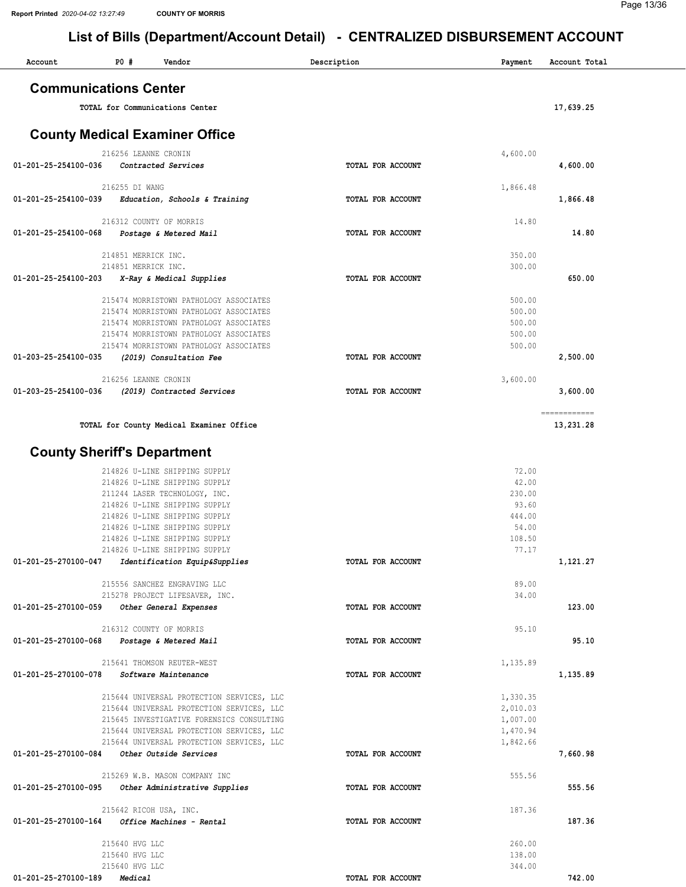### Page 13/36

| Account              | P0 #<br>Vendor                                                                         | Description       | Payment              | Account Total             |
|----------------------|----------------------------------------------------------------------------------------|-------------------|----------------------|---------------------------|
|                      | <b>Communications Center</b>                                                           |                   |                      |                           |
|                      | TOTAL for Communications Center                                                        |                   |                      | 17,639.25                 |
|                      | <b>County Medical Examiner Office</b>                                                  |                   |                      |                           |
| 01-201-25-254100-036 | 216256 LEANNE CRONIN<br>Contracted Services                                            | TOTAL FOR ACCOUNT | 4,600.00             | 4,600.00                  |
|                      | 216255 DI WANG                                                                         |                   | 1,866.48             |                           |
| 01-201-25-254100-039 | Education, Schools & Training                                                          | TOTAL FOR ACCOUNT |                      | 1,866.48                  |
|                      | 216312 COUNTY OF MORRIS                                                                |                   | 14.80                |                           |
| 01-201-25-254100-068 | Postage & Metered Mail                                                                 | TOTAL FOR ACCOUNT |                      | 14.80                     |
|                      | 214851 MERRICK INC.                                                                    |                   | 350.00               |                           |
| 01-201-25-254100-203 | 214851 MERRICK INC.<br>X-Ray & Medical Supplies                                        | TOTAL FOR ACCOUNT | 300.00               | 650.00                    |
|                      |                                                                                        |                   |                      |                           |
|                      | 215474 MORRISTOWN PATHOLOGY ASSOCIATES                                                 |                   | 500.00               |                           |
|                      | 215474 MORRISTOWN PATHOLOGY ASSOCIATES<br>215474 MORRISTOWN PATHOLOGY ASSOCIATES       |                   | 500.00<br>500.00     |                           |
|                      | 215474 MORRISTOWN PATHOLOGY ASSOCIATES                                                 |                   | 500.00               |                           |
|                      | 215474 MORRISTOWN PATHOLOGY ASSOCIATES                                                 |                   | 500.00               |                           |
| 01-203-25-254100-035 | (2019) Consultation Fee                                                                | TOTAL FOR ACCOUNT |                      | 2,500.00                  |
|                      | 216256 LEANNE CRONIN                                                                   |                   | 3,600.00             |                           |
| 01-203-25-254100-036 | (2019) Contracted Services                                                             | TOTAL FOR ACCOUNT |                      | 3,600.00                  |
|                      | TOTAL for County Medical Examiner Office                                               |                   |                      | ------------<br>13,231.28 |
|                      | <b>County Sheriff's Department</b>                                                     |                   |                      |                           |
|                      | 214826 U-LINE SHIPPING SUPPLY                                                          |                   | 72.00                |                           |
|                      | 214826 U-LINE SHIPPING SUPPLY                                                          |                   | 42.00                |                           |
|                      | 211244 LASER TECHNOLOGY, INC.                                                          |                   | 230.00               |                           |
|                      | 214826 U-LINE SHIPPING SUPPLY<br>214826 U-LINE SHIPPING SUPPLY                         |                   | 93.60<br>444.00      |                           |
|                      | 214826 U-LINE SHIPPING SUPPLY                                                          |                   | 54.00                |                           |
|                      | 214826 U-LINE SHIPPING SUPPLY                                                          |                   | 108.50               |                           |
| 01-201-25-270100-047 | 214826 U-LINE SHIPPING SUPPLY                                                          | TOTAL FOR ACCOUNT | 77.17                | 1,121.27                  |
|                      | Identification Equip&Supplies                                                          |                   |                      |                           |
|                      | 215556 SANCHEZ ENGRAVING LLC<br>215278 PROJECT LIFESAVER, INC.                         |                   | 89.00<br>34.00       |                           |
| 01-201-25-270100-059 | Other General Expenses                                                                 | TOTAL FOR ACCOUNT |                      | 123.00                    |
|                      |                                                                                        |                   |                      |                           |
| 01-201-25-270100-068 | 216312 COUNTY OF MORRIS<br>Postage & Metered Mail                                      | TOTAL FOR ACCOUNT | 95.10                | 95.10                     |
|                      |                                                                                        |                   |                      |                           |
|                      | 215641 THOMSON REUTER-WEST                                                             |                   | 1,135.89             |                           |
| 01-201-25-270100-078 | Software Maintenance                                                                   | TOTAL FOR ACCOUNT |                      | 1,135.89                  |
|                      | 215644 UNIVERSAL PROTECTION SERVICES, LLC                                              |                   | 1,330.35             |                           |
|                      | 215644 UNIVERSAL PROTECTION SERVICES, LLC<br>215645 INVESTIGATIVE FORENSICS CONSULTING |                   | 2,010.03<br>1,007.00 |                           |
|                      | 215644 UNIVERSAL PROTECTION SERVICES, LLC                                              |                   | 1,470.94             |                           |
|                      | 215644 UNIVERSAL PROTECTION SERVICES, LLC                                              |                   | 1,842.66             |                           |
| 01-201-25-270100-084 | Other Outside Services                                                                 | TOTAL FOR ACCOUNT |                      | 7,660.98                  |
|                      | 215269 W.B. MASON COMPANY INC                                                          |                   | 555.56               |                           |
| 01-201-25-270100-095 | Other Administrative Supplies                                                          | TOTAL FOR ACCOUNT |                      | 555.56                    |
|                      | 215642 RICOH USA, INC.                                                                 |                   | 187.36               |                           |
| 01-201-25-270100-164 | Office Machines - Rental                                                               | TOTAL FOR ACCOUNT |                      | 187.36                    |
|                      | 215640 HVG LLC                                                                         |                   | 260.00               |                           |
|                      | 215640 HVG LLC                                                                         |                   | 138.00               |                           |
| 01-201-25-270100-189 | 215640 HVG LLC<br>Medical                                                              | TOTAL FOR ACCOUNT | 344.00               | 742.00                    |
|                      |                                                                                        |                   |                      |                           |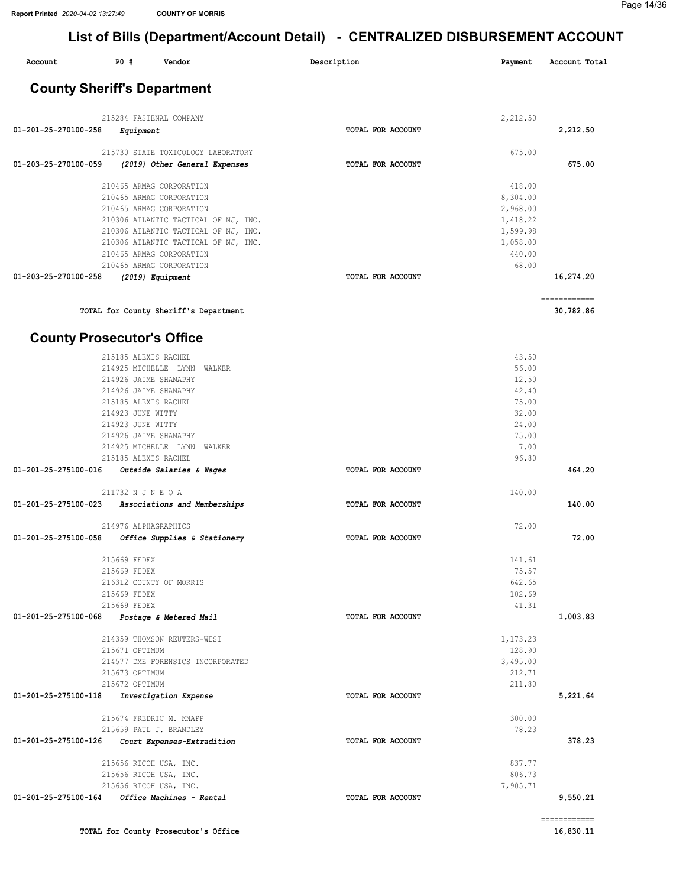$\overline{\phantom{a}}$ 

| Account              | $P0$ #                                    | Vendor                                                           | Description              | Payment            | Account Total |  |
|----------------------|-------------------------------------------|------------------------------------------------------------------|--------------------------|--------------------|---------------|--|
|                      |                                           | <b>County Sheriff's Department</b>                               |                          |                    |               |  |
|                      |                                           |                                                                  |                          |                    |               |  |
|                      |                                           | 215284 FASTENAL COMPANY                                          |                          | 2,212.50           |               |  |
| 01-201-25-270100-258 | Equipment                                 |                                                                  | TOTAL FOR ACCOUNT        |                    | 2,212.50      |  |
|                      |                                           | 215730 STATE TOXICOLOGY LABORATORY                               |                          | 675.00             |               |  |
| 01-203-25-270100-059 |                                           | (2019) Other General Expenses                                    | TOTAL FOR ACCOUNT        |                    | 675.00        |  |
|                      |                                           | 210465 ARMAG CORPORATION                                         |                          | 418.00             |               |  |
|                      |                                           | 210465 ARMAG CORPORATION                                         |                          | 8,304.00           |               |  |
|                      |                                           | 210465 ARMAG CORPORATION                                         |                          | 2,968.00           |               |  |
|                      |                                           | 210306 ATLANTIC TACTICAL OF NJ, INC.                             |                          | 1,418.22           |               |  |
|                      |                                           | 210306 ATLANTIC TACTICAL OF NJ, INC.                             |                          | 1,599.98           |               |  |
|                      |                                           | 210306 ATLANTIC TACTICAL OF NJ, INC.<br>210465 ARMAG CORPORATION |                          | 1,058.00<br>440.00 |               |  |
|                      |                                           | 210465 ARMAG CORPORATION                                         |                          | 68.00              |               |  |
| 01-203-25-270100-258 |                                           | (2019) Equipment                                                 | TOTAL FOR ACCOUNT        |                    | 16,274.20     |  |
|                      |                                           |                                                                  |                          |                    |               |  |
|                      |                                           | TOTAL for County Sheriff's Department                            |                          |                    | ============  |  |
|                      |                                           |                                                                  |                          |                    | 30,782.86     |  |
|                      | <b>County Prosecutor's Office</b>         |                                                                  |                          |                    |               |  |
|                      | 215185 ALEXIS RACHEL                      |                                                                  |                          | 43.50              |               |  |
|                      |                                           | 214925 MICHELLE LYNN<br><b>WALKER</b>                            |                          | 56.00              |               |  |
|                      | 214926 JAIME SHANAPHY                     |                                                                  |                          | 12.50              |               |  |
|                      | 214926 JAIME SHANAPHY                     |                                                                  |                          | 42.40              |               |  |
|                      | 215185 ALEXIS RACHEL<br>214923 JUNE WITTY |                                                                  |                          | 75.00<br>32.00     |               |  |
|                      | 214923 JUNE WITTY                         |                                                                  |                          | 24.00              |               |  |
|                      | 214926 JAIME SHANAPHY                     |                                                                  |                          | 75.00              |               |  |
|                      | 214925 MICHELLE LYNN                      | WALKER                                                           |                          | 7.00               |               |  |
|                      | 215185 ALEXIS RACHEL                      |                                                                  |                          | 96.80              |               |  |
| 01-201-25-275100-016 |                                           | Outside Salaries & Wages                                         | TOTAL FOR ACCOUNT        |                    | 464.20        |  |
|                      | 211732 N J N E O A                        |                                                                  |                          | 140.00             |               |  |
| 01-201-25-275100-023 |                                           | Associations and Memberships                                     | <b>TOTAL FOR ACCOUNT</b> |                    | 140.00        |  |
|                      | 214976 ALPHAGRAPHICS                      |                                                                  |                          | 72.00              |               |  |
| 01-201-25-275100-058 |                                           | Office Supplies & Stationery                                     | TOTAL FOR ACCOUNT        |                    | 72.00         |  |
|                      | 215669 FEDEX                              |                                                                  |                          | 141.61             |               |  |
|                      | 215669 FEDEX                              |                                                                  |                          | 75.57              |               |  |
|                      |                                           | 216312 COUNTY OF MORRIS                                          |                          | 642.65             |               |  |
|                      | 215669 FEDEX                              |                                                                  |                          | 102.69             |               |  |
|                      | 215669 FEDEX                              |                                                                  |                          | 41.31              |               |  |
| 01-201-25-275100-068 |                                           | Postage & Metered Mail                                           | TOTAL FOR ACCOUNT        |                    | 1,003.83      |  |
|                      |                                           | 214359 THOMSON REUTERS-WEST                                      |                          | 1,173.23           |               |  |
|                      | 215671 OPTIMUM                            |                                                                  |                          | 128.90             |               |  |
|                      |                                           | 214577 DME FORENSICS INCORPORATED                                |                          | 3,495.00           |               |  |
|                      | 215673 OPTIMUM<br>215672 OPTIMUM          |                                                                  |                          | 212.71<br>211.80   |               |  |
| 01-201-25-275100-118 |                                           | Investigation Expense                                            | TOTAL FOR ACCOUNT        |                    | 5,221.64      |  |
|                      |                                           |                                                                  |                          |                    |               |  |
|                      |                                           | 215674 FREDRIC M. KNAPP<br>215659 PAUL J. BRANDLEY               |                          | 300.00<br>78.23    |               |  |
| 01-201-25-275100-126 |                                           | Court Expenses-Extradition                                       | TOTAL FOR ACCOUNT        |                    | 378.23        |  |
|                      |                                           |                                                                  |                          |                    |               |  |
|                      |                                           | 215656 RICOH USA, INC.<br>215656 RICOH USA, INC.                 |                          | 837.77<br>806.73   |               |  |
|                      |                                           | 215656 RICOH USA, INC.                                           |                          | 7,905.71           |               |  |
| 01-201-25-275100-164 |                                           | Office Machines - Rental                                         | TOTAL FOR ACCOUNT        |                    | 9,550.21      |  |
|                      |                                           |                                                                  |                          |                    | ------------  |  |
|                      |                                           | TOTAL for County Prosecutor's Office                             |                          |                    | 16,830.11     |  |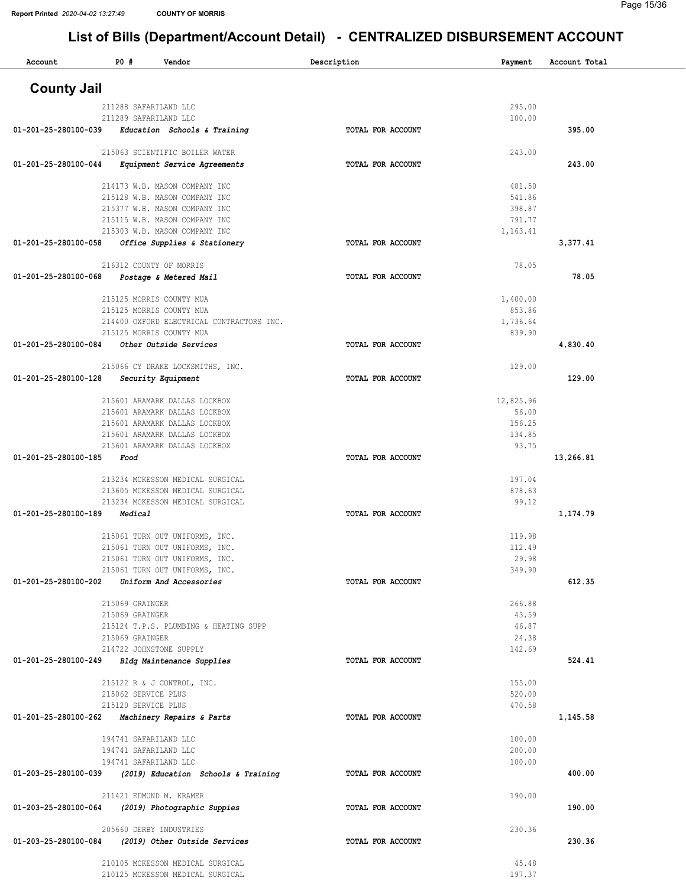| Account                                        | <b>PO #</b>         | Vendor                                                               | Description       | Payment            | Account Total |  |
|------------------------------------------------|---------------------|----------------------------------------------------------------------|-------------------|--------------------|---------------|--|
| <b>County Jail</b>                             |                     |                                                                      |                   |                    |               |  |
|                                                |                     |                                                                      |                   |                    |               |  |
|                                                |                     | 211288 SAFARILAND LLC<br>211289 SAFARILAND LLC                       |                   | 295.00<br>100.00   |               |  |
| 01-201-25-280100-039                           |                     | Education Schools & Training                                         | TOTAL FOR ACCOUNT |                    | 395.00        |  |
|                                                |                     |                                                                      |                   |                    |               |  |
| 01-201-25-280100-044                           |                     | 215063 SCIENTIFIC BOILER WATER<br>Equipment Service Agreements       | TOTAL FOR ACCOUNT | 243.00             | 243.00        |  |
|                                                |                     |                                                                      |                   |                    |               |  |
|                                                |                     | 214173 W.B. MASON COMPANY INC                                        |                   | 481.50             |               |  |
|                                                |                     | 215128 W.B. MASON COMPANY INC<br>215377 W.B. MASON COMPANY INC       |                   | 541.86<br>398.87   |               |  |
|                                                |                     | 215115 W.B. MASON COMPANY INC                                        |                   | 791.77             |               |  |
|                                                |                     | 215303 W.B. MASON COMPANY INC                                        |                   | 1,163.41           |               |  |
| 01-201-25-280100-058                           |                     | Office Supplies & Stationery                                         | TOTAL FOR ACCOUNT |                    | 3,377.41      |  |
|                                                |                     | 216312 COUNTY OF MORRIS                                              |                   | 78.05              |               |  |
| 01-201-25-280100-068                           |                     | Postage & Metered Mail                                               | TOTAL FOR ACCOUNT |                    | 78.05         |  |
|                                                |                     |                                                                      |                   |                    |               |  |
|                                                |                     | 215125 MORRIS COUNTY MUA<br>215125 MORRIS COUNTY MUA                 |                   | 1,400.00<br>853.86 |               |  |
|                                                |                     | 214400 OXFORD ELECTRICAL CONTRACTORS INC.                            |                   | 1,736.64           |               |  |
|                                                |                     | 215125 MORRIS COUNTY MUA                                             |                   | 839.90             |               |  |
| 01-201-25-280100-084                           |                     | Other Outside Services                                               | TOTAL FOR ACCOUNT |                    | 4,830.40      |  |
|                                                |                     | 215066 CY DRAKE LOCKSMITHS, INC.                                     |                   | 129.00             |               |  |
| 01-201-25-280100-128                           |                     | Security Equipment                                                   | TOTAL FOR ACCOUNT |                    | 129.00        |  |
|                                                |                     | 215601 ARAMARK DALLAS LOCKBOX                                        |                   | 12,825.96          |               |  |
|                                                |                     | 215601 ARAMARK DALLAS LOCKBOX                                        |                   | 56.00              |               |  |
|                                                |                     | 215601 ARAMARK DALLAS LOCKBOX                                        |                   | 156.25             |               |  |
|                                                |                     | 215601 ARAMARK DALLAS LOCKBOX                                        |                   | 134.85<br>93.75    |               |  |
| 01-201-25-280100-185                           | Food                | 215601 ARAMARK DALLAS LOCKBOX                                        | TOTAL FOR ACCOUNT |                    | 13,266.81     |  |
|                                                |                     |                                                                      |                   |                    |               |  |
|                                                |                     | 213234 MCKESSON MEDICAL SURGICAL                                     |                   | 197.04             |               |  |
|                                                |                     | 213605 MCKESSON MEDICAL SURGICAL<br>213234 MCKESSON MEDICAL SURGICAL |                   | 878.63<br>99.12    |               |  |
| 01-201-25-280100-189                           | Medical             |                                                                      | TOTAL FOR ACCOUNT |                    | 1,174.79      |  |
|                                                |                     |                                                                      |                   | 119.98             |               |  |
|                                                |                     | 215061 TURN OUT UNIFORMS, INC.<br>215061 TURN OUT UNIFORMS, INC.     |                   | 112.49             |               |  |
|                                                |                     | 215061 TURN OUT UNIFORMS, INC.                                       |                   | 29.98              |               |  |
|                                                |                     | 215061 TURN OUT UNIFORMS, INC.                                       |                   | 349.90             |               |  |
| 01-201-25-280100-202                           |                     | Uniform And Accessories                                              | TOTAL FOR ACCOUNT |                    | 612.35        |  |
|                                                | 215069 GRAINGER     |                                                                      |                   | 266.88             |               |  |
|                                                | 215069 GRAINGER     |                                                                      |                   | 43.59              |               |  |
|                                                | 215069 GRAINGER     | 215124 T.P.S. PLUMBING & HEATING SUPP                                |                   | 46.87<br>24.38     |               |  |
|                                                |                     | 214722 JOHNSTONE SUPPLY                                              |                   | 142.69             |               |  |
| 01-201-25-280100-249                           |                     | Bldg Maintenance Supplies                                            | TOTAL FOR ACCOUNT |                    | 524.41        |  |
|                                                |                     | 215122 R & J CONTROL, INC.                                           |                   | 155.00             |               |  |
|                                                | 215062 SERVICE PLUS |                                                                      |                   | 520.00             |               |  |
|                                                | 215120 SERVICE PLUS |                                                                      |                   | 470.58             |               |  |
| 01-201-25-280100-262 Machinery Repairs & Parts |                     |                                                                      | TOTAL FOR ACCOUNT |                    | 1,145.58      |  |
|                                                |                     | 194741 SAFARILAND LLC                                                |                   | 100.00             |               |  |
|                                                |                     | 194741 SAFARILAND LLC                                                |                   | 200.00             |               |  |
|                                                |                     | 194741 SAFARILAND LLC                                                |                   | 100.00             |               |  |
| 01-203-25-280100-039                           |                     | (2019) Education Schools & Training                                  | TOTAL FOR ACCOUNT |                    | 400.00        |  |
|                                                |                     | 211421 EDMUND M. KRAMER                                              |                   | 190.00             |               |  |
| 01-203-25-280100-064                           |                     | (2019) Photographic Suppies                                          | TOTAL FOR ACCOUNT |                    | 190.00        |  |
|                                                |                     | 205660 DERBY INDUSTRIES                                              |                   | 230.36             |               |  |
| 01-203-25-280100-084                           |                     | (2019) Other Outside Services                                        | TOTAL FOR ACCOUNT |                    | 230.36        |  |
|                                                |                     |                                                                      |                   |                    |               |  |
|                                                |                     | 210105 MCKESSON MEDICAL SURGICAL<br>210125 MCKESSON MEDICAL SURGICAL |                   | 45.48<br>197.37    |               |  |
|                                                |                     |                                                                      |                   |                    |               |  |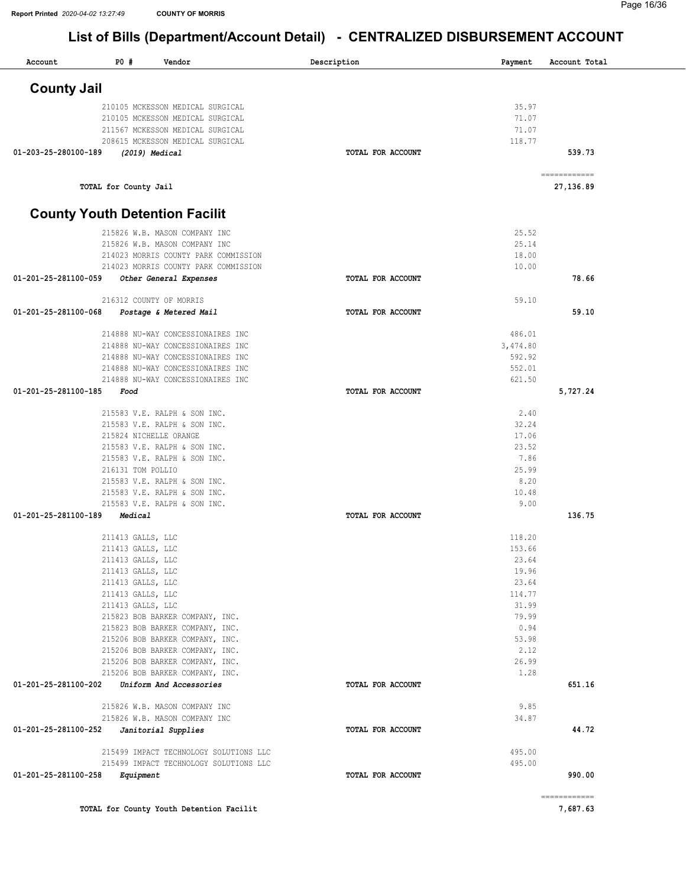| Account              | P0#                                    | Vendor                                                                 | Description       | Payment          | Account Total             |
|----------------------|----------------------------------------|------------------------------------------------------------------------|-------------------|------------------|---------------------------|
| <b>County Jail</b>   |                                        |                                                                        |                   |                  |                           |
|                      |                                        | 210105 MCKESSON MEDICAL SURGICAL                                       |                   | 35.97            |                           |
|                      |                                        | 210105 MCKESSON MEDICAL SURGICAL                                       |                   | 71.07            |                           |
|                      |                                        | 211567 MCKESSON MEDICAL SURGICAL                                       |                   | 71.07            |                           |
|                      |                                        | 208615 MCKESSON MEDICAL SURGICAL                                       |                   | 118.77           |                           |
| 01-203-25-280100-189 |                                        | (2019) Medical                                                         | TOTAL FOR ACCOUNT |                  | 539.73                    |
|                      | TOTAL for County Jail                  |                                                                        |                   |                  | ============<br>27,136.89 |
|                      |                                        | <b>County Youth Detention Facilit</b>                                  |                   |                  |                           |
|                      |                                        | 215826 W.B. MASON COMPANY INC                                          |                   | 25.52            |                           |
|                      |                                        | 215826 W.B. MASON COMPANY INC                                          |                   | 25.14            |                           |
|                      |                                        | 214023 MORRIS COUNTY PARK COMMISSION                                   |                   | 18.00            |                           |
|                      |                                        | 214023 MORRIS COUNTY PARK COMMISSION                                   |                   | 10.00            |                           |
| 01-201-25-281100-059 |                                        | Other General Expenses                                                 | TOTAL FOR ACCOUNT |                  | 78.66                     |
|                      |                                        | 216312 COUNTY OF MORRIS                                                |                   | 59.10            |                           |
| 01-201-25-281100-068 |                                        | Postage & Metered Mail                                                 | TOTAL FOR ACCOUNT |                  | 59.10                     |
|                      |                                        | 214888 NU-WAY CONCESSIONAIRES INC                                      |                   | 486.01           |                           |
|                      |                                        | 214888 NU-WAY CONCESSIONAIRES INC                                      |                   | 3,474.80         |                           |
|                      |                                        | 214888 NU-WAY CONCESSIONAIRES INC                                      |                   | 592.92           |                           |
|                      |                                        | 214888 NU-WAY CONCESSIONAIRES INC<br>214888 NU-WAY CONCESSIONAIRES INC |                   | 552.01<br>621.50 |                           |
| 01-201-25-281100-185 | Food                                   |                                                                        | TOTAL FOR ACCOUNT |                  | 5,727.24                  |
|                      |                                        | 215583 V.E. RALPH & SON INC.                                           |                   | 2.40             |                           |
|                      |                                        | 215583 V.E. RALPH & SON INC.                                           |                   | 32.24            |                           |
|                      |                                        | 215824 NICHELLE ORANGE                                                 |                   | 17.06            |                           |
|                      |                                        | 215583 V.E. RALPH & SON INC.                                           |                   | 23.52            |                           |
|                      |                                        | 215583 V.E. RALPH & SON INC.                                           |                   | 7.86             |                           |
|                      | 216131 TOM POLLIO                      |                                                                        |                   | 25.99            |                           |
|                      |                                        | 215583 V.E. RALPH & SON INC.                                           |                   | 8.20             |                           |
|                      |                                        | 215583 V.E. RALPH & SON INC.                                           |                   | 10.48            |                           |
|                      |                                        | 215583 V.E. RALPH & SON INC.                                           |                   | 9.00             |                           |
| 01-201-25-281100-189 | Medical                                |                                                                        | TOTAL FOR ACCOUNT |                  | 136.75                    |
|                      | 211413 GALLS, LLC                      |                                                                        |                   | 118.20           |                           |
|                      | 211413 GALLS, LLC                      |                                                                        |                   | 153.66           |                           |
|                      | 211413 GALLS, LLC                      |                                                                        |                   | 23.64            |                           |
|                      | 211413 GALLS, LLC<br>211413 GALLS, LLC |                                                                        |                   | 19.96<br>23.64   |                           |
|                      | 211413 GALLS, LLC                      |                                                                        |                   | 114.77           |                           |
|                      | 211413 GALLS, LLC                      |                                                                        |                   | 31.99            |                           |
|                      |                                        | 215823 BOB BARKER COMPANY, INC.                                        |                   | 79.99            |                           |
|                      |                                        | 215823 BOB BARKER COMPANY, INC.                                        |                   | 0.94             |                           |
|                      |                                        | 215206 BOB BARKER COMPANY, INC.                                        |                   | 53.98            |                           |
|                      |                                        | 215206 BOB BARKER COMPANY, INC.                                        |                   | 2.12             |                           |
|                      |                                        | 215206 BOB BARKER COMPANY, INC.                                        |                   | 26.99            |                           |
|                      |                                        | 215206 BOB BARKER COMPANY, INC.                                        |                   | 1.28             |                           |
| 01-201-25-281100-202 |                                        | Uniform And Accessories                                                | TOTAL FOR ACCOUNT |                  | 651.16                    |
|                      |                                        | 215826 W.B. MASON COMPANY INC                                          |                   | 9.85             |                           |
| 01-201-25-281100-252 |                                        | 215826 W.B. MASON COMPANY INC<br>Janitorial Supplies                   | TOTAL FOR ACCOUNT | 34.87            | 44.72                     |
|                      |                                        | 215499 IMPACT TECHNOLOGY SOLUTIONS LLC                                 |                   | 495.00           |                           |
|                      |                                        | 215499 IMPACT TECHNOLOGY SOLUTIONS LLC                                 |                   | 495.00           |                           |
| 01-201-25-281100-258 | Equipment                              |                                                                        | TOTAL FOR ACCOUNT |                  | 990.00                    |
|                      |                                        |                                                                        |                   |                  | ===========               |
|                      |                                        | TOTAL for County Youth Detention Facilit                               |                   |                  | 7,687.63                  |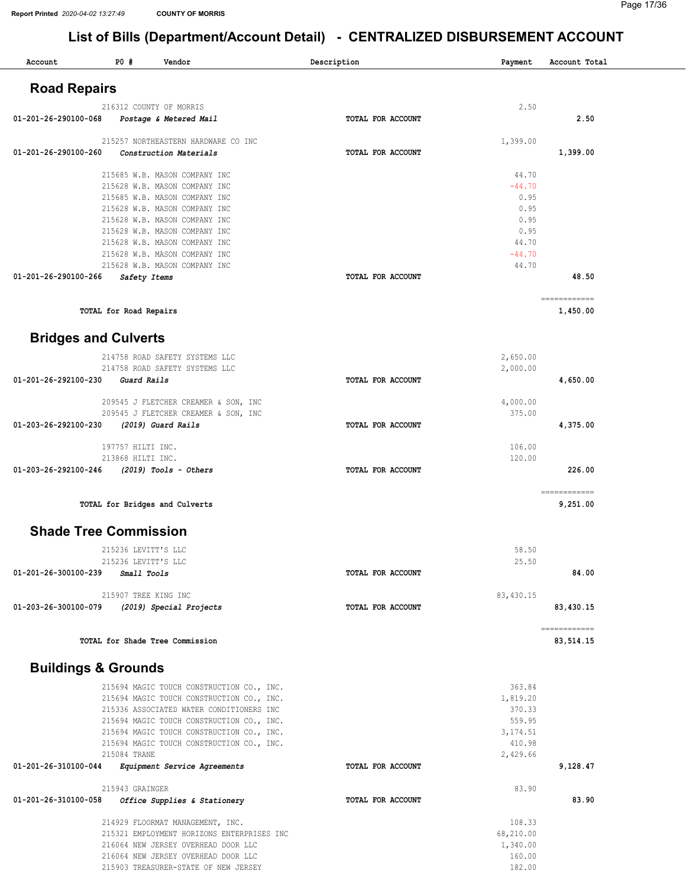| Account                        | <b>PO #</b>            | Vendor                                                                                 | Description       | Payment             | Account Total                                                                                                                                                                                                                                                                                                                                                                                                                                                                                      |  |
|--------------------------------|------------------------|----------------------------------------------------------------------------------------|-------------------|---------------------|----------------------------------------------------------------------------------------------------------------------------------------------------------------------------------------------------------------------------------------------------------------------------------------------------------------------------------------------------------------------------------------------------------------------------------------------------------------------------------------------------|--|
| <b>Road Repairs</b>            |                        |                                                                                        |                   |                     |                                                                                                                                                                                                                                                                                                                                                                                                                                                                                                    |  |
|                                |                        | 216312 COUNTY OF MORRIS                                                                |                   | 2.50                |                                                                                                                                                                                                                                                                                                                                                                                                                                                                                                    |  |
| 01-201-26-290100-068           |                        | Postage & Metered Mail                                                                 | TOTAL FOR ACCOUNT |                     | 2.50                                                                                                                                                                                                                                                                                                                                                                                                                                                                                               |  |
| 01-201-26-290100-260           |                        | 215257 NORTHEASTERN HARDWARE CO INC<br>Construction Materials                          | TOTAL FOR ACCOUNT | 1,399.00            | 1,399.00                                                                                                                                                                                                                                                                                                                                                                                                                                                                                           |  |
|                                |                        |                                                                                        |                   |                     |                                                                                                                                                                                                                                                                                                                                                                                                                                                                                                    |  |
|                                |                        | 215685 W.B. MASON COMPANY INC<br>215628 W.B. MASON COMPANY INC                         |                   | 44.70<br>$-44.70$   |                                                                                                                                                                                                                                                                                                                                                                                                                                                                                                    |  |
|                                |                        | 215685 W.B. MASON COMPANY INC                                                          |                   | 0.95                |                                                                                                                                                                                                                                                                                                                                                                                                                                                                                                    |  |
|                                |                        | 215628 W.B. MASON COMPANY INC<br>215628 W.B. MASON COMPANY INC                         |                   | 0.95<br>0.95        |                                                                                                                                                                                                                                                                                                                                                                                                                                                                                                    |  |
|                                |                        | 215628 W.B. MASON COMPANY INC                                                          |                   | 0.95                |                                                                                                                                                                                                                                                                                                                                                                                                                                                                                                    |  |
|                                |                        | 215628 W.B. MASON COMPANY INC                                                          |                   | 44.70               |                                                                                                                                                                                                                                                                                                                                                                                                                                                                                                    |  |
|                                |                        | 215628 W.B. MASON COMPANY INC<br>215628 W.B. MASON COMPANY INC                         |                   | $-44.70$<br>44.70   |                                                                                                                                                                                                                                                                                                                                                                                                                                                                                                    |  |
| 01-201-26-290100-266           | Safety Items           |                                                                                        | TOTAL FOR ACCOUNT |                     | 48.50                                                                                                                                                                                                                                                                                                                                                                                                                                                                                              |  |
|                                |                        |                                                                                        |                   |                     | ============                                                                                                                                                                                                                                                                                                                                                                                                                                                                                       |  |
|                                | TOTAL for Road Repairs |                                                                                        |                   |                     | 1,450.00                                                                                                                                                                                                                                                                                                                                                                                                                                                                                           |  |
| <b>Bridges and Culverts</b>    |                        |                                                                                        |                   |                     |                                                                                                                                                                                                                                                                                                                                                                                                                                                                                                    |  |
|                                |                        | 214758 ROAD SAFETY SYSTEMS LLC                                                         |                   | 2,650.00            |                                                                                                                                                                                                                                                                                                                                                                                                                                                                                                    |  |
| 01-201-26-292100-230           | Guard Rails            | 214758 ROAD SAFETY SYSTEMS LLC                                                         | TOTAL FOR ACCOUNT | 2,000.00            | 4,650.00                                                                                                                                                                                                                                                                                                                                                                                                                                                                                           |  |
|                                |                        |                                                                                        |                   |                     |                                                                                                                                                                                                                                                                                                                                                                                                                                                                                                    |  |
|                                |                        | 209545 J FLETCHER CREAMER & SON, INC<br>209545 J FLETCHER CREAMER & SON, INC           |                   | 4,000.00<br>375.00  |                                                                                                                                                                                                                                                                                                                                                                                                                                                                                                    |  |
| 01-203-26-292100-230           |                        | (2019) Guard Rails                                                                     | TOTAL FOR ACCOUNT |                     | 4,375.00                                                                                                                                                                                                                                                                                                                                                                                                                                                                                           |  |
|                                | 197757 HILTI INC.      |                                                                                        |                   | 106.00              |                                                                                                                                                                                                                                                                                                                                                                                                                                                                                                    |  |
| 01-203-26-292100-246           | 213868 HILTI INC.      | $(2019)$ Tools - Others                                                                | TOTAL FOR ACCOUNT | 120.00              | 226.00                                                                                                                                                                                                                                                                                                                                                                                                                                                                                             |  |
|                                |                        |                                                                                        |                   |                     |                                                                                                                                                                                                                                                                                                                                                                                                                                                                                                    |  |
|                                |                        | TOTAL for Bridges and Culverts                                                         |                   |                     | $\begin{array}{cccccccccc} \multicolumn{2}{c}{} & \multicolumn{2}{c}{} & \multicolumn{2}{c}{} & \multicolumn{2}{c}{} & \multicolumn{2}{c}{} & \multicolumn{2}{c}{} & \multicolumn{2}{c}{} & \multicolumn{2}{c}{} & \multicolumn{2}{c}{} & \multicolumn{2}{c}{} & \multicolumn{2}{c}{} & \multicolumn{2}{c}{} & \multicolumn{2}{c}{} & \multicolumn{2}{c}{} & \multicolumn{2}{c}{} & \multicolumn{2}{c}{} & \multicolumn{2}{c}{} & \multicolumn{2}{c}{} & \multicolumn{2}{c}{} & \mult$<br>9,251.00 |  |
| <b>Shade Tree Commission</b>   |                        |                                                                                        |                   |                     |                                                                                                                                                                                                                                                                                                                                                                                                                                                                                                    |  |
|                                | 215236 LEVITT'S LLC    |                                                                                        |                   | 58.50               |                                                                                                                                                                                                                                                                                                                                                                                                                                                                                                    |  |
|                                | 215236 LEVITT'S LLC    |                                                                                        |                   | 25.50               |                                                                                                                                                                                                                                                                                                                                                                                                                                                                                                    |  |
| 01-201-26-300100-239           | <i>Small Tools</i>     |                                                                                        | TOTAL FOR ACCOUNT |                     | 84.00                                                                                                                                                                                                                                                                                                                                                                                                                                                                                              |  |
|                                | 215907 TREE KING INC   |                                                                                        |                   | 83,430.15           |                                                                                                                                                                                                                                                                                                                                                                                                                                                                                                    |  |
| 01-203-26-300100-079           |                        | (2019) Special Projects                                                                | TOTAL FOR ACCOUNT |                     | 83,430.15                                                                                                                                                                                                                                                                                                                                                                                                                                                                                          |  |
|                                |                        | TOTAL for Shade Tree Commission                                                        |                   |                     | ------------<br>83,514.15                                                                                                                                                                                                                                                                                                                                                                                                                                                                          |  |
| <b>Buildings &amp; Grounds</b> |                        |                                                                                        |                   |                     |                                                                                                                                                                                                                                                                                                                                                                                                                                                                                                    |  |
|                                |                        | 215694 MAGIC TOUCH CONSTRUCTION CO., INC.                                              |                   | 363.84              |                                                                                                                                                                                                                                                                                                                                                                                                                                                                                                    |  |
|                                |                        | 215694 MAGIC TOUCH CONSTRUCTION CO., INC.                                              |                   | 1,819.20            |                                                                                                                                                                                                                                                                                                                                                                                                                                                                                                    |  |
|                                |                        | 215336 ASSOCIATED WATER CONDITIONERS INC                                               |                   | 370.33              |                                                                                                                                                                                                                                                                                                                                                                                                                                                                                                    |  |
|                                |                        | 215694 MAGIC TOUCH CONSTRUCTION CO., INC.<br>215694 MAGIC TOUCH CONSTRUCTION CO., INC. |                   | 559.95<br>3, 174.51 |                                                                                                                                                                                                                                                                                                                                                                                                                                                                                                    |  |
|                                |                        | 215694 MAGIC TOUCH CONSTRUCTION CO., INC.                                              |                   | 410.98              |                                                                                                                                                                                                                                                                                                                                                                                                                                                                                                    |  |
| 01-201-26-310100-044           | 215084 TRANE           | Equipment Service Agreements                                                           | TOTAL FOR ACCOUNT | 2,429.66            | 9,128.47                                                                                                                                                                                                                                                                                                                                                                                                                                                                                           |  |
|                                |                        |                                                                                        |                   |                     |                                                                                                                                                                                                                                                                                                                                                                                                                                                                                                    |  |
| 01-201-26-310100-058           | 215943 GRAINGER        | Office Supplies & Stationery                                                           | TOTAL FOR ACCOUNT | 83.90               | 83.90                                                                                                                                                                                                                                                                                                                                                                                                                                                                                              |  |
|                                |                        | 214929 FLOORMAT MANAGEMENT, INC.                                                       |                   | 108.33              |                                                                                                                                                                                                                                                                                                                                                                                                                                                                                                    |  |
|                                |                        | 215321 EMPLOYMENT HORIZONS ENTERPRISES INC                                             |                   | 68,210.00           |                                                                                                                                                                                                                                                                                                                                                                                                                                                                                                    |  |
|                                |                        | 216064 NEW JERSEY OVERHEAD DOOR LLC<br>216064 NEW JERSEY OVERHEAD DOOR LLC             |                   | 1,340.00<br>160.00  |                                                                                                                                                                                                                                                                                                                                                                                                                                                                                                    |  |
|                                |                        | 215903 TREASURER-STATE OF NEW JERSEY                                                   |                   | 182.00              |                                                                                                                                                                                                                                                                                                                                                                                                                                                                                                    |  |
|                                |                        |                                                                                        |                   |                     |                                                                                                                                                                                                                                                                                                                                                                                                                                                                                                    |  |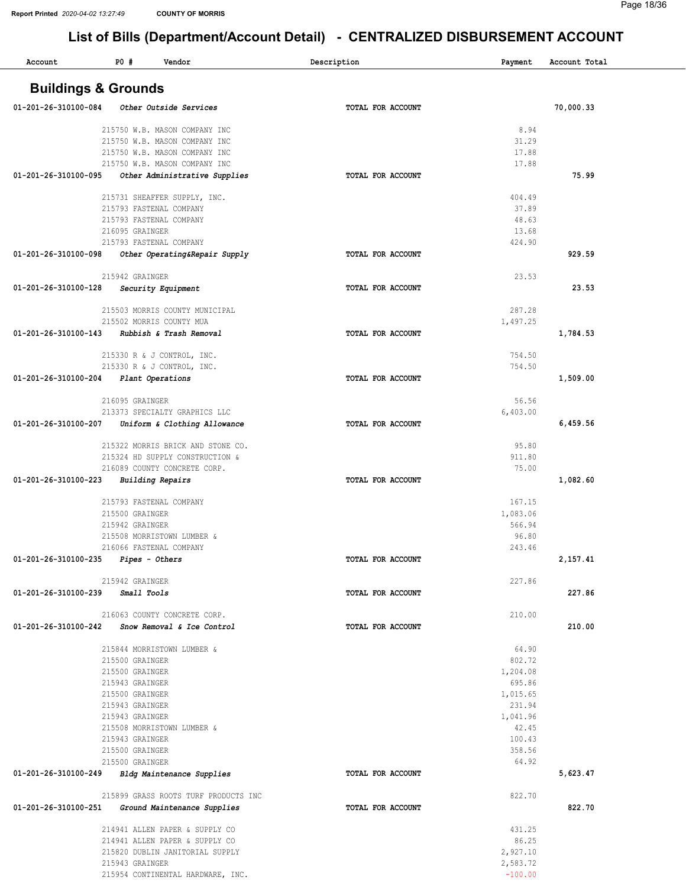| Account                               | PO#<br>Vendor                                                  | Description              | Payment              | Account Total |
|---------------------------------------|----------------------------------------------------------------|--------------------------|----------------------|---------------|
|                                       |                                                                |                          |                      |               |
| <b>Buildings &amp; Grounds</b>        |                                                                |                          |                      |               |
| 01-201-26-310100-084                  | Other Outside Services                                         | TOTAL FOR ACCOUNT        |                      | 70,000.33     |
|                                       |                                                                |                          |                      |               |
|                                       | 215750 W.B. MASON COMPANY INC                                  |                          | 8.94                 |               |
|                                       | 215750 W.B. MASON COMPANY INC<br>215750 W.B. MASON COMPANY INC |                          | 31.29<br>17.88       |               |
|                                       | 215750 W.B. MASON COMPANY INC                                  |                          | 17.88                |               |
| 01-201-26-310100-095                  | Other Administrative Supplies                                  | TOTAL FOR ACCOUNT        |                      | 75.99         |
|                                       |                                                                |                          |                      |               |
|                                       | 215731 SHEAFFER SUPPLY, INC.                                   |                          | 404.49               |               |
|                                       | 215793 FASTENAL COMPANY<br>215793 FASTENAL COMPANY             |                          | 37.89<br>48.63       |               |
|                                       | 216095 GRAINGER                                                |                          | 13.68                |               |
|                                       | 215793 FASTENAL COMPANY                                        |                          | 424.90               |               |
| 01-201-26-310100-098                  | Other Operating&Repair Supply                                  | TOTAL FOR ACCOUNT        |                      | 929.59        |
|                                       |                                                                |                          |                      |               |
|                                       | 215942 GRAINGER                                                |                          | 23.53                |               |
| 01-201-26-310100-128                  | Security Equipment                                             | TOTAL FOR ACCOUNT        |                      | 23.53         |
|                                       | 215503 MORRIS COUNTY MUNICIPAL                                 |                          | 287.28               |               |
|                                       | 215502 MORRIS COUNTY MUA                                       |                          | 1,497.25             |               |
| 01-201-26-310100-143                  | Rubbish & Trash Removal                                        | TOTAL FOR ACCOUNT        |                      | 1,784.53      |
|                                       | 215330 R & J CONTROL, INC.                                     |                          | 754.50               |               |
|                                       | 215330 R & J CONTROL, INC.                                     |                          | 754.50               |               |
| 01-201-26-310100-204                  | Plant Operations                                               | TOTAL FOR ACCOUNT        |                      | 1,509.00      |
|                                       |                                                                |                          |                      |               |
|                                       | 216095 GRAINGER                                                |                          | 56.56                |               |
| 01-201-26-310100-207                  | 213373 SPECIALTY GRAPHICS LLC<br>Uniform & Clothing Allowance  | TOTAL FOR ACCOUNT        | 6,403.00             | 6,459.56      |
|                                       |                                                                |                          |                      |               |
|                                       | 215322 MORRIS BRICK AND STONE CO.                              |                          | 95.80                |               |
|                                       | 215324 HD SUPPLY CONSTRUCTION &                                |                          | 911.80               |               |
|                                       | 216089 COUNTY CONCRETE CORP.                                   |                          | 75.00                |               |
| 01-201-26-310100-223                  | Building Repairs                                               | <b>TOTAL FOR ACCOUNT</b> |                      | 1,082.60      |
|                                       | 215793 FASTENAL COMPANY                                        |                          | 167.15               |               |
|                                       | 215500 GRAINGER                                                |                          | 1,083.06             |               |
|                                       | 215942 GRAINGER                                                |                          | 566.94               |               |
|                                       | 215508 MORRISTOWN LUMBER &<br>216066 FASTENAL COMPANY          |                          | 96.80<br>243.46      |               |
| $01-201-26-310100-235$ Pipes - Others |                                                                | TOTAL FOR ACCOUNT        |                      | 2,157.41      |
|                                       |                                                                |                          |                      |               |
|                                       | 215942 GRAINGER                                                |                          | 227.86               |               |
| 01-201-26-310100-239 Small Tools      |                                                                | TOTAL FOR ACCOUNT        |                      | 227.86        |
|                                       | 216063 COUNTY CONCRETE CORP.                                   |                          | 210.00               |               |
|                                       | 01-201-26-310100-242 Snow Removal & Ice Control                | TOTAL FOR ACCOUNT        |                      | 210.00        |
|                                       |                                                                |                          |                      |               |
|                                       | 215844 MORRISTOWN LUMBER &                                     |                          | 64.90                |               |
|                                       | 215500 GRAINGER<br>215500 GRAINGER                             |                          | 802.72<br>1,204.08   |               |
|                                       | 215943 GRAINGER                                                |                          | 695.86               |               |
|                                       | 215500 GRAINGER                                                |                          | 1,015.65             |               |
|                                       | 215943 GRAINGER                                                |                          | 231.94               |               |
|                                       | 215943 GRAINGER                                                |                          | 1,041.96             |               |
|                                       | 215508 MORRISTOWN LUMBER &<br>215943 GRAINGER                  |                          | 42.45<br>100.43      |               |
|                                       | 215500 GRAINGER                                                |                          | 358.56               |               |
|                                       | 215500 GRAINGER                                                |                          | 64.92                |               |
|                                       | 01-201-26-310100-249 Bldg Maintenance Supplies                 | TOTAL FOR ACCOUNT        |                      | 5,623.47      |
|                                       | 215899 GRASS ROOTS TURF PRODUCTS INC                           |                          | 822.70               |               |
| 01-201-26-310100-251                  | Ground Maintenance Supplies                                    | TOTAL FOR ACCOUNT        |                      | 822.70        |
|                                       |                                                                |                          |                      |               |
|                                       | 214941 ALLEN PAPER & SUPPLY CO                                 |                          | 431.25               |               |
|                                       | 214941 ALLEN PAPER & SUPPLY CO                                 |                          | 86.25                |               |
|                                       | 215820 DUBLIN JANITORIAL SUPPLY<br>215943 GRAINGER             |                          | 2,927.10<br>2,583.72 |               |
|                                       | 215954 CONTINENTAL HARDWARE, INC.                              |                          | $-100.00$            |               |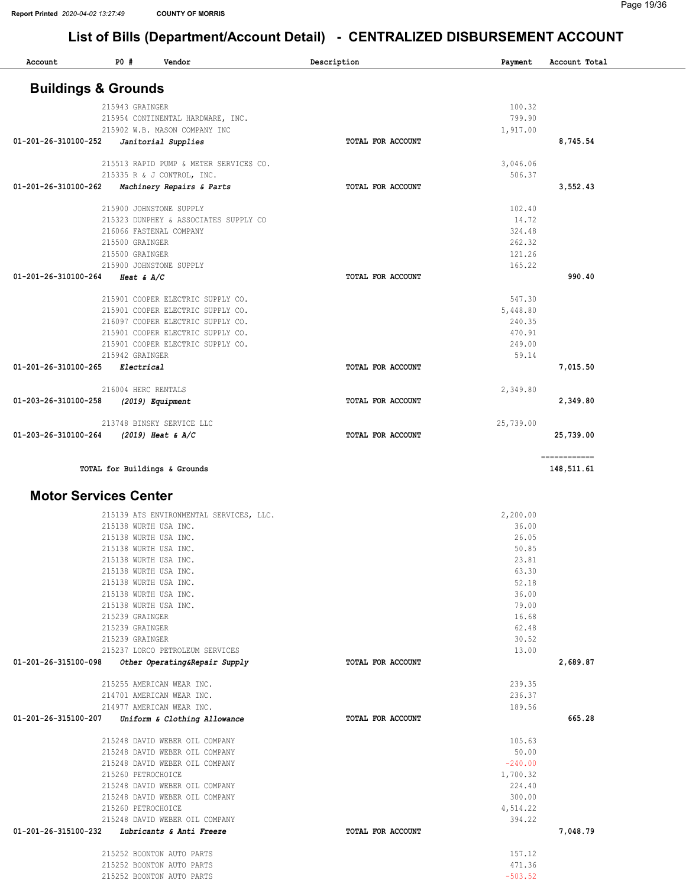| Account              | $P0$ #                         | Vendor                                  | Description              | Payment   | Account Total              |
|----------------------|--------------------------------|-----------------------------------------|--------------------------|-----------|----------------------------|
|                      | <b>Buildings &amp; Grounds</b> |                                         |                          |           |                            |
|                      | 215943 GRAINGER                |                                         |                          | 100.32    |                            |
|                      |                                | 215954 CONTINENTAL HARDWARE, INC.       |                          | 799.90    |                            |
|                      |                                | 215902 W.B. MASON COMPANY INC           |                          | 1,917.00  |                            |
| 01-201-26-310100-252 |                                | Janitorial Supplies                     | TOTAL FOR ACCOUNT        |           | 8,745.54                   |
|                      |                                | 215513 RAPID PUMP & METER SERVICES CO.  |                          | 3,046.06  |                            |
|                      |                                | 215335 R & J CONTROL, INC.              |                          | 506.37    |                            |
| 01-201-26-310100-262 |                                | Machinery Repairs & Parts               | TOTAL FOR ACCOUNT        |           | 3,552.43                   |
|                      |                                | 215900 JOHNSTONE SUPPLY                 |                          | 102.40    |                            |
|                      |                                | 215323 DUNPHEY & ASSOCIATES SUPPLY CO   |                          | 14.72     |                            |
|                      |                                | 216066 FASTENAL COMPANY                 |                          | 324.48    |                            |
|                      | 215500 GRAINGER                |                                         |                          | 262.32    |                            |
|                      | 215500 GRAINGER                |                                         |                          | 121.26    |                            |
|                      |                                | 215900 JOHNSTONE SUPPLY                 |                          | 165.22    |                            |
| 01-201-26-310100-264 | Heat $\&$ A/C                  |                                         | <b>TOTAL FOR ACCOUNT</b> |           | 990.40                     |
|                      |                                | 215901 COOPER ELECTRIC SUPPLY CO.       |                          | 547.30    |                            |
|                      |                                | 215901 COOPER ELECTRIC SUPPLY CO.       |                          | 5,448.80  |                            |
|                      |                                | 216097 COOPER ELECTRIC SUPPLY CO.       |                          | 240.35    |                            |
|                      |                                | 215901 COOPER ELECTRIC SUPPLY CO.       |                          | 470.91    |                            |
|                      |                                | 215901 COOPER ELECTRIC SUPPLY CO.       |                          | 249.00    |                            |
|                      | 215942 GRAINGER                |                                         |                          | 59.14     |                            |
| 01-201-26-310100-265 | Electrical                     |                                         | TOTAL FOR ACCOUNT        |           | 7,015.50                   |
|                      | 216004 HERC RENTALS            |                                         |                          | 2,349.80  |                            |
| 01-203-26-310100-258 |                                | (2019) Equipment                        | TOTAL FOR ACCOUNT        |           | 2,349.80                   |
|                      |                                | 213748 BINSKY SERVICE LLC               |                          | 25,739.00 |                            |
| 01-203-26-310100-264 |                                | $(2019)$ Heat & A/C                     | TOTAL FOR ACCOUNT        |           | 25,739.00                  |
|                      |                                | TOTAL for Buildings & Grounds           |                          |           | ============<br>148,511.61 |
|                      | <b>Motor Services Center</b>   |                                         |                          |           |                            |
|                      |                                | 215139 ATS ENVIRONMENTAL SERVICES, LLC. |                          | 2,200.00  |                            |
|                      | 215138 WIIRTH IISA INC         |                                         |                          | 36 00     |                            |

| 215138 WURTH USA INC.                                 |                   | 36.00     |          |
|-------------------------------------------------------|-------------------|-----------|----------|
| 215138 WURTH USA INC.                                 |                   | 26.05     |          |
| 215138 WURTH USA INC.                                 |                   | 50.85     |          |
| 215138 WURTH USA INC.                                 |                   | 23.81     |          |
| 215138 WURTH USA INC.                                 |                   | 63.30     |          |
| 215138 WURTH USA INC.                                 |                   | 52.18     |          |
| 215138 WURTH USA INC.                                 |                   | 36.00     |          |
| 215138 WURTH USA INC.                                 |                   | 79.00     |          |
| 215239 GRAINGER                                       |                   | 16.68     |          |
| 215239 GRAINGER                                       |                   | 62.48     |          |
| 215239 GRAINGER                                       |                   | 30.52     |          |
| 215237 LORCO PETROLEUM SERVICES                       |                   | 13.00     |          |
| 01-201-26-315100-098<br>Other Operating&Repair Supply | TOTAL FOR ACCOUNT |           | 2,689.87 |
| 215255 AMERICAN WEAR INC.                             |                   | 239.35    |          |
| 214701 AMERICAN WEAR INC.                             |                   | 236.37    |          |
| 214977 AMERICAN WEAR INC.                             |                   | 189.56    |          |
| 01-201-26-315100-207<br>Uniform & Clothing Allowance  | TOTAL FOR ACCOUNT |           | 665.28   |
| 215248 DAVID WEBER OIL COMPANY                        |                   | 105.63    |          |
| 215248 DAVID WEBER OIL COMPANY                        |                   | 50.00     |          |
| 215248 DAVID WEBER OIL COMPANY                        |                   | $-240.00$ |          |
| 215260 PETROCHOICE                                    |                   | 1,700.32  |          |
| 215248 DAVID WEBER OIL COMPANY                        |                   | 224.40    |          |
| 215248 DAVID WEBER OIL COMPANY                        |                   | 300.00    |          |
| 215260 PETROCHOICE                                    |                   | 4,514.22  |          |
| 215248 DAVID WEBER OIL COMPANY                        |                   | 394.22    |          |
| 01-201-26-315100-232<br>Lubricants & Anti Freeze      | TOTAL FOR ACCOUNT |           | 7,048.79 |
| 215252 BOONTON AUTO PARTS                             |                   | 157.12    |          |
| 215252 BOONTON AUTO PARTS                             |                   | 471.36    |          |
| 215252 BOONTON AUTO PARTS                             |                   | $-503.52$ |          |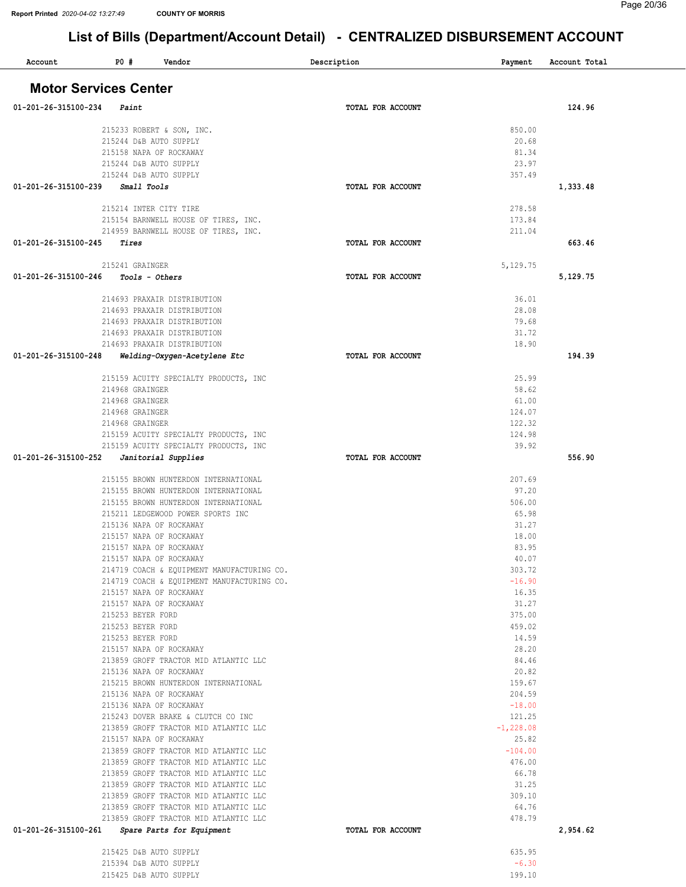| Account                      | <b>PO #</b>       | Vendor                                                                |  | Description              | Payment          | Account Total |  |
|------------------------------|-------------------|-----------------------------------------------------------------------|--|--------------------------|------------------|---------------|--|
| <b>Motor Services Center</b> |                   |                                                                       |  |                          |                  |               |  |
| 01-201-26-315100-234         | Paint             |                                                                       |  | TOTAL FOR ACCOUNT        |                  | 124.96        |  |
|                              |                   | 215233 ROBERT & SON, INC.                                             |  |                          | 850.00           |               |  |
|                              |                   | 215244 D&B AUTO SUPPLY                                                |  |                          | 20.68            |               |  |
|                              |                   | 215158 NAPA OF ROCKAWAY                                               |  |                          | 81.34            |               |  |
|                              |                   | 215244 D&B AUTO SUPPLY                                                |  |                          | 23.97            |               |  |
|                              |                   | 215244 D&B AUTO SUPPLY                                                |  |                          | 357.49           |               |  |
| 01-201-26-315100-239         | Small Tools       |                                                                       |  | TOTAL FOR ACCOUNT        |                  | 1,333.48      |  |
|                              |                   | 215214 INTER CITY TIRE                                                |  |                          | 278.58           |               |  |
|                              |                   | 215154 BARNWELL HOUSE OF TIRES, INC.                                  |  |                          | 173.84           |               |  |
|                              |                   | 214959 BARNWELL HOUSE OF TIRES, INC.                                  |  |                          | 211.04           |               |  |
| 01-201-26-315100-245         | Tires             |                                                                       |  | TOTAL FOR ACCOUNT        |                  | 663.46        |  |
|                              |                   |                                                                       |  |                          |                  |               |  |
|                              | 215241 GRAINGER   |                                                                       |  |                          | 5,129.75         |               |  |
| 01-201-26-315100-246         |                   | Tools - Others                                                        |  | TOTAL FOR ACCOUNT        |                  | 5,129.75      |  |
|                              |                   | 214693 PRAXAIR DISTRIBUTION                                           |  |                          | 36.01            |               |  |
|                              |                   | 214693 PRAXAIR DISTRIBUTION                                           |  |                          | 28.08            |               |  |
|                              |                   | 214693 PRAXAIR DISTRIBUTION                                           |  |                          | 79.68            |               |  |
|                              |                   | 214693 PRAXAIR DISTRIBUTION                                           |  |                          | 31.72            |               |  |
|                              |                   | 214693 PRAXAIR DISTRIBUTION                                           |  |                          | 18.90            |               |  |
| 01-201-26-315100-248         |                   | Welding-Oxygen-Acetylene Etc                                          |  | TOTAL FOR ACCOUNT        |                  | 194.39        |  |
|                              |                   | 215159 ACUITY SPECIALTY PRODUCTS, INC                                 |  |                          | 25.99            |               |  |
|                              | 214968 GRAINGER   |                                                                       |  |                          | 58.62            |               |  |
|                              | 214968 GRAINGER   |                                                                       |  |                          | 61.00            |               |  |
|                              | 214968 GRAINGER   |                                                                       |  |                          | 124.07           |               |  |
|                              | 214968 GRAINGER   |                                                                       |  |                          | 122.32           |               |  |
|                              |                   | 215159 ACUITY SPECIALTY PRODUCTS, INC                                 |  |                          | 124.98           |               |  |
|                              |                   | 215159 ACUITY SPECIALTY PRODUCTS, INC                                 |  |                          | 39.92            |               |  |
| 01-201-26-315100-252         |                   | Janitorial Supplies                                                   |  | <b>TOTAL FOR ACCOUNT</b> |                  | 556.90        |  |
|                              |                   | 215155 BROWN HUNTERDON INTERNATIONAL                                  |  |                          | 207.69           |               |  |
|                              |                   | 215155 BROWN HUNTERDON INTERNATIONAL                                  |  |                          | 97.20            |               |  |
|                              |                   | 215155 BROWN HUNTERDON INTERNATIONAL                                  |  |                          | 506.00           |               |  |
|                              |                   | 215211 LEDGEWOOD POWER SPORTS INC                                     |  |                          | 65.98            |               |  |
|                              |                   | 215136 NAPA OF ROCKAWAY                                               |  |                          | 31.27            |               |  |
|                              |                   | 215157 NAPA OF ROCKAWAY                                               |  |                          | 18.00            |               |  |
|                              |                   | 215157 NAPA OF ROCKAWAY                                               |  |                          | 83.95            |               |  |
|                              |                   | 215157 NAPA OF ROCKAWAY<br>214719 COACH & EQUIPMENT MANUFACTURING CO. |  |                          | 40.07<br>303.72  |               |  |
|                              |                   | 214719 COACH & EQUIPMENT MANUFACTURING CO.                            |  |                          | $-16.90$         |               |  |
|                              |                   | 215157 NAPA OF ROCKAWAY                                               |  |                          | 16.35            |               |  |
|                              |                   | 215157 NAPA OF ROCKAWAY                                               |  |                          | 31.27            |               |  |
|                              | 215253 BEYER FORD |                                                                       |  |                          | 375.00           |               |  |
|                              | 215253 BEYER FORD |                                                                       |  |                          | 459.02           |               |  |
|                              | 215253 BEYER FORD |                                                                       |  |                          | 14.59            |               |  |
|                              |                   | 215157 NAPA OF ROCKAWAY                                               |  |                          | 28.20            |               |  |
|                              |                   | 213859 GROFF TRACTOR MID ATLANTIC LLC                                 |  |                          | 84.46            |               |  |
|                              |                   | 215136 NAPA OF ROCKAWAY                                               |  |                          | 20.82            |               |  |
|                              |                   | 215215 BROWN HUNTERDON INTERNATIONAL<br>215136 NAPA OF ROCKAWAY       |  |                          | 159.67<br>204.59 |               |  |
|                              |                   | 215136 NAPA OF ROCKAWAY                                               |  |                          | $-18.00$         |               |  |
|                              |                   | 215243 DOVER BRAKE & CLUTCH CO INC                                    |  |                          | 121.25           |               |  |
|                              |                   | 213859 GROFF TRACTOR MID ATLANTIC LLC                                 |  |                          | $-1, 228.08$     |               |  |
|                              |                   | 215157 NAPA OF ROCKAWAY                                               |  |                          | 25.82            |               |  |
|                              |                   | 213859 GROFF TRACTOR MID ATLANTIC LLC                                 |  |                          | $-104.00$        |               |  |
|                              |                   | 213859 GROFF TRACTOR MID ATLANTIC LLC                                 |  |                          | 476.00           |               |  |
|                              |                   | 213859 GROFF TRACTOR MID ATLANTIC LLC                                 |  |                          | 66.78            |               |  |
|                              |                   | 213859 GROFF TRACTOR MID ATLANTIC LLC                                 |  |                          | 31.25            |               |  |
|                              |                   | 213859 GROFF TRACTOR MID ATLANTIC LLC                                 |  |                          | 309.10           |               |  |
|                              |                   | 213859 GROFF TRACTOR MID ATLANTIC LLC                                 |  |                          | 64.76            |               |  |
| 01-201-26-315100-261         |                   | 213859 GROFF TRACTOR MID ATLANTIC LLC                                 |  | TOTAL FOR ACCOUNT        | 478.79           | 2,954.62      |  |
|                              |                   | Spare Parts for Equipment                                             |  |                          |                  |               |  |
|                              |                   | 215425 D&B AUTO SUPPLY                                                |  |                          | 635.95           |               |  |
|                              |                   | 215394 D&B AUTO SUPPLY                                                |  |                          | $-6.30$          |               |  |
|                              |                   | 215425 D&B AUTO SUPPLY                                                |  |                          | 199.10           |               |  |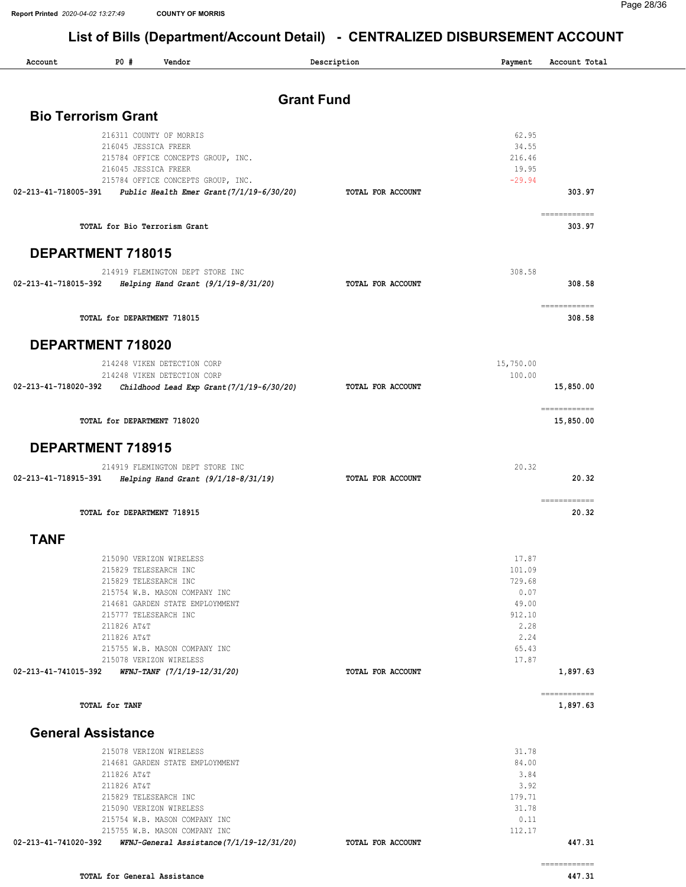| Account     | $P0$ #<br>Vendor                                                                 | Description       |                | Payment Account Total                                                                                                                                                                                                                                                                                                                                                                                                                                                                           |
|-------------|----------------------------------------------------------------------------------|-------------------|----------------|-------------------------------------------------------------------------------------------------------------------------------------------------------------------------------------------------------------------------------------------------------------------------------------------------------------------------------------------------------------------------------------------------------------------------------------------------------------------------------------------------|
|             |                                                                                  | <b>Grant Fund</b> |                |                                                                                                                                                                                                                                                                                                                                                                                                                                                                                                 |
|             | <b>Bio Terrorism Grant</b>                                                       |                   |                |                                                                                                                                                                                                                                                                                                                                                                                                                                                                                                 |
|             |                                                                                  |                   |                |                                                                                                                                                                                                                                                                                                                                                                                                                                                                                                 |
|             | 216311 COUNTY OF MORRIS                                                          |                   | 62.95<br>34.55 |                                                                                                                                                                                                                                                                                                                                                                                                                                                                                                 |
|             | 216045 JESSICA FREER<br>215784 OFFICE CONCEPTS GROUP, INC.                       |                   | 216.46         |                                                                                                                                                                                                                                                                                                                                                                                                                                                                                                 |
|             | 216045 JESSICA FREER                                                             |                   | 19.95          |                                                                                                                                                                                                                                                                                                                                                                                                                                                                                                 |
|             | 215784 OFFICE CONCEPTS GROUP, INC.                                               |                   | $-29.94$       |                                                                                                                                                                                                                                                                                                                                                                                                                                                                                                 |
|             | 02-213-41-718005-391  Public Health Emer Grant(7/1/19-6/30/20)                   | TOTAL FOR ACCOUNT |                | 303.97                                                                                                                                                                                                                                                                                                                                                                                                                                                                                          |
|             |                                                                                  |                   |                |                                                                                                                                                                                                                                                                                                                                                                                                                                                                                                 |
|             | TOTAL for Bio Terrorism Grant                                                    |                   |                | 303.97                                                                                                                                                                                                                                                                                                                                                                                                                                                                                          |
|             | DEPARTMENT 718015                                                                |                   |                |                                                                                                                                                                                                                                                                                                                                                                                                                                                                                                 |
|             | 214919 FLEMINGTON DEPT STORE INC                                                 |                   | 308.58         |                                                                                                                                                                                                                                                                                                                                                                                                                                                                                                 |
|             | 02-213-41-718015-392 Helping Hand Grant (9/1/19-8/31/20)                         | TOTAL FOR ACCOUNT |                | 308.58                                                                                                                                                                                                                                                                                                                                                                                                                                                                                          |
|             |                                                                                  |                   |                |                                                                                                                                                                                                                                                                                                                                                                                                                                                                                                 |
|             | TOTAL for DEPARTMENT 718015                                                      |                   |                | ------------<br>308.58                                                                                                                                                                                                                                                                                                                                                                                                                                                                          |
|             |                                                                                  |                   |                |                                                                                                                                                                                                                                                                                                                                                                                                                                                                                                 |
|             | DEPARTMENT 718020                                                                |                   |                |                                                                                                                                                                                                                                                                                                                                                                                                                                                                                                 |
|             | 214248 VIKEN DETECTION CORP                                                      |                   | 15,750.00      |                                                                                                                                                                                                                                                                                                                                                                                                                                                                                                 |
|             | 214248 VIKEN DETECTION CORP                                                      |                   | 100.00         |                                                                                                                                                                                                                                                                                                                                                                                                                                                                                                 |
|             | 02-213-41-718020-392                    Childhood Lead Exp Grant(7/1/19-6/30/20) | TOTAL FOR ACCOUNT |                | 15,850.00                                                                                                                                                                                                                                                                                                                                                                                                                                                                                       |
|             | TOTAL for DEPARTMENT 718020                                                      |                   |                | ============<br>15,850.00                                                                                                                                                                                                                                                                                                                                                                                                                                                                       |
|             |                                                                                  |                   |                |                                                                                                                                                                                                                                                                                                                                                                                                                                                                                                 |
|             | <b>DEPARTMENT 718915</b>                                                         |                   |                |                                                                                                                                                                                                                                                                                                                                                                                                                                                                                                 |
|             | 214919 FLEMINGTON DEPT STORE INC                                                 |                   | 20.32          |                                                                                                                                                                                                                                                                                                                                                                                                                                                                                                 |
|             | 02-213-41-718915-391 Helping Hand Grant (9/1/18-8/31/19)                         | TOTAL FOR ACCOUNT |                | 20.32                                                                                                                                                                                                                                                                                                                                                                                                                                                                                           |
|             | TOTAL for DEPARTMENT 718915                                                      |                   |                | $\begin{array}{cccccccccc} \multicolumn{2}{c}{} & \multicolumn{2}{c}{} & \multicolumn{2}{c}{} & \multicolumn{2}{c}{} & \multicolumn{2}{c}{} & \multicolumn{2}{c}{} & \multicolumn{2}{c}{} & \multicolumn{2}{c}{} & \multicolumn{2}{c}{} & \multicolumn{2}{c}{} & \multicolumn{2}{c}{} & \multicolumn{2}{c}{} & \multicolumn{2}{c}{} & \multicolumn{2}{c}{} & \multicolumn{2}{c}{} & \multicolumn{2}{c}{} & \multicolumn{2}{c}{} & \multicolumn{2}{c}{} & \multicolumn{2}{c}{} & \mult$<br>20.32 |
|             |                                                                                  |                   |                |                                                                                                                                                                                                                                                                                                                                                                                                                                                                                                 |
| <b>TANF</b> |                                                                                  |                   |                |                                                                                                                                                                                                                                                                                                                                                                                                                                                                                                 |
|             | 215090 VERIZON WIRELESS                                                          |                   | 17.87          |                                                                                                                                                                                                                                                                                                                                                                                                                                                                                                 |
|             | 215829 TELESEARCH INC                                                            |                   | 101.09         |                                                                                                                                                                                                                                                                                                                                                                                                                                                                                                 |
|             | 215829 TELESEARCH INC                                                            |                   | 729.68         |                                                                                                                                                                                                                                                                                                                                                                                                                                                                                                 |
|             | 215754 W.B. MASON COMPANY INC                                                    |                   | 0.07           |                                                                                                                                                                                                                                                                                                                                                                                                                                                                                                 |
|             | 214681 GARDEN STATE EMPLOYMMENT                                                  |                   | 49.00          |                                                                                                                                                                                                                                                                                                                                                                                                                                                                                                 |
|             | 215777 TELESEARCH INC                                                            |                   | 912.10         |                                                                                                                                                                                                                                                                                                                                                                                                                                                                                                 |
|             | 211826 AT&T                                                                      |                   | 2.28           |                                                                                                                                                                                                                                                                                                                                                                                                                                                                                                 |
|             | 211826 AT&T                                                                      |                   | 2.24           |                                                                                                                                                                                                                                                                                                                                                                                                                                                                                                 |
|             | 215755 W.B. MASON COMPANY INC                                                    |                   | 65.43          |                                                                                                                                                                                                                                                                                                                                                                                                                                                                                                 |
|             | 215078 VERIZON WIRELESS                                                          |                   | 17.87          |                                                                                                                                                                                                                                                                                                                                                                                                                                                                                                 |
|             |                                                                                  | TOTAL FOR ACCOUNT |                | 1,897.63                                                                                                                                                                                                                                                                                                                                                                                                                                                                                        |
|             | TOTAL for TANF                                                                   |                   |                | ============<br>1,897.63                                                                                                                                                                                                                                                                                                                                                                                                                                                                        |
|             |                                                                                  |                   |                |                                                                                                                                                                                                                                                                                                                                                                                                                                                                                                 |
|             | <b>General Assistance</b>                                                        |                   |                |                                                                                                                                                                                                                                                                                                                                                                                                                                                                                                 |
|             | 215078 VERIZON WIRELESS                                                          |                   | 31.78          |                                                                                                                                                                                                                                                                                                                                                                                                                                                                                                 |
|             | 214681 GARDEN STATE EMPLOYMMENT                                                  |                   | 84.00          |                                                                                                                                                                                                                                                                                                                                                                                                                                                                                                 |
|             | 211826 AT&T                                                                      |                   | 3.84           |                                                                                                                                                                                                                                                                                                                                                                                                                                                                                                 |
|             | 211826 AT&T                                                                      |                   | 3.92           |                                                                                                                                                                                                                                                                                                                                                                                                                                                                                                 |
|             | 215829 TELESEARCH INC                                                            |                   | 179.71         |                                                                                                                                                                                                                                                                                                                                                                                                                                                                                                 |
|             | 215090 VERIZON WIRELESS                                                          |                   | 31.78          |                                                                                                                                                                                                                                                                                                                                                                                                                                                                                                 |
|             | 215754 W.B. MASON COMPANY INC                                                    |                   | 0.11           |                                                                                                                                                                                                                                                                                                                                                                                                                                                                                                 |
|             | 215755 W.B. MASON COMPANY INC                                                    |                   | 112.17         |                                                                                                                                                                                                                                                                                                                                                                                                                                                                                                 |
|             | 02-213-41-741020-392     WFNJ-General Assistance(7/1/19-12/31/20)                | TOTAL FOR ACCOUNT |                | 447.31                                                                                                                                                                                                                                                                                                                                                                                                                                                                                          |
|             |                                                                                  |                   |                | ============                                                                                                                                                                                                                                                                                                                                                                                                                                                                                    |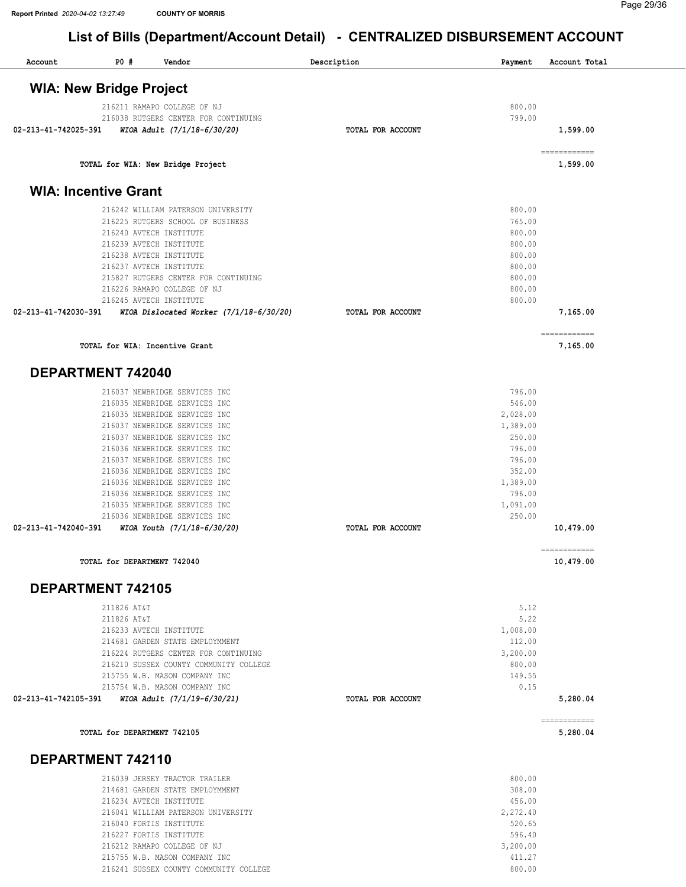216212 RAMAPO COLLEGE OF NJ 215755 W.B. MASON COMPANY INC

216241 SUSSEX COUNTY COMMUNITY COLLEGE

# List of Bills (Department/Account Detail) - CENTRALIZED DISBURSEMENT ACCOUNT

| Account              | PO#<br>Vendor                                                           | Description       |                    | Account Total             |
|----------------------|-------------------------------------------------------------------------|-------------------|--------------------|---------------------------|
|                      |                                                                         |                   | Payment            |                           |
|                      | <b>WIA: New Bridge Project</b>                                          |                   |                    |                           |
|                      | 216211 RAMAPO COLLEGE OF NJ                                             |                   | 800.00             |                           |
| 02-213-41-742025-391 | 216038 RUTGERS CENTER FOR CONTINUING<br>WIOA Adult (7/1/18-6/30/20)     | TOTAL FOR ACCOUNT | 799.00             | 1,599.00                  |
|                      | TOTAL for WIA: New Bridge Project                                       |                   |                    | ============<br>1,599.00  |
|                      | <b>WIA: Incentive Grant</b>                                             |                   |                    |                           |
|                      | 216242 WILLIAM PATERSON UNIVERSITY                                      |                   | 800.00             |                           |
|                      | 216225 RUTGERS SCHOOL OF BUSINESS                                       |                   | 765.00             |                           |
|                      | 216240 AVTECH INSTITUTE<br>216239 AVTECH INSTITUTE                      |                   | 800.00<br>800.00   |                           |
|                      | 216238 AVTECH INSTITUTE                                                 |                   | 800.00             |                           |
|                      | 216237 AVTECH INSTITUTE                                                 |                   | 800.00             |                           |
|                      | 215827 RUTGERS CENTER FOR CONTINUING                                    |                   | 800.00             |                           |
|                      | 216226 RAMAPO COLLEGE OF NJ                                             |                   | 800.00             |                           |
|                      | 216245 AVTECH INSTITUTE                                                 |                   | 800.00             |                           |
| 02-213-41-742030-391 | WIOA Dislocated Worker (7/1/18-6/30/20)                                 | TOTAL FOR ACCOUNT |                    | 7,165.00                  |
|                      | TOTAL for WIA: Incentive Grant                                          |                   |                    | ============<br>7,165.00  |
|                      | <b>DEPARTMENT 742040</b>                                                |                   |                    |                           |
|                      | 216037 NEWBRIDGE SERVICES INC                                           |                   | 796.00             |                           |
|                      | 216035 NEWBRIDGE SERVICES INC                                           |                   | 546.00             |                           |
|                      | 216035 NEWBRIDGE SERVICES INC                                           |                   | 2,028.00           |                           |
|                      | 216037 NEWBRIDGE SERVICES INC<br>216037 NEWBRIDGE SERVICES INC          |                   | 1,389.00<br>250.00 |                           |
|                      | 216036 NEWBRIDGE SERVICES INC                                           |                   | 796.00             |                           |
|                      | 216037 NEWBRIDGE SERVICES INC                                           |                   | 796.00             |                           |
|                      | 216036 NEWBRIDGE SERVICES INC                                           |                   | 352.00             |                           |
|                      | 216036 NEWBRIDGE SERVICES INC                                           |                   | 1,389.00           |                           |
|                      | 216036 NEWBRIDGE SERVICES INC                                           |                   | 796.00             |                           |
|                      | 216035 NEWBRIDGE SERVICES INC<br>216036 NEWBRIDGE SERVICES INC          |                   | 1,091.00<br>250.00 |                           |
| 02-213-41-742040-391 | WIOA Youth (7/1/18-6/30/20)                                             | TOTAL FOR ACCOUNT |                    | 10,479.00                 |
|                      | TOTAL for DEPARTMENT 742040                                             |                   |                    | ------------<br>10,479.00 |
|                      |                                                                         |                   |                    |                           |
|                      | <b>DEPARTMENT 742105</b><br>211826 AT&T                                 |                   | 5.12               |                           |
|                      | 211826 AT&T                                                             |                   | 5.22               |                           |
|                      | 216233 AVTECH INSTITUTE                                                 |                   | 1,008.00           |                           |
|                      | 214681 GARDEN STATE EMPLOYMMENT                                         |                   | 112.00             |                           |
|                      | 216224 RUTGERS CENTER FOR CONTINUING                                    |                   | 3,200.00           |                           |
|                      | 216210 SUSSEX COUNTY COMMUNITY COLLEGE<br>215755 W.B. MASON COMPANY INC |                   | 800.00<br>149.55   |                           |
|                      | 215754 W.B. MASON COMPANY INC                                           |                   | 0.15               |                           |
| 02-213-41-742105-391 | WIOA Adult (7/1/19-6/30/21)                                             | TOTAL FOR ACCOUNT |                    | 5,280.04                  |
|                      | TOTAL for DEPARTMENT 742105                                             |                   |                    | ============<br>5,280.04  |
|                      | DEPARTMENT 742110                                                       |                   |                    |                           |
|                      |                                                                         |                   |                    |                           |
|                      | 216039 JERSEY TRACTOR TRAILER<br>214681 GARDEN STATE EMPLOYMMENT        |                   | 800.00<br>308.00   |                           |
|                      | 216234 AVTECH INSTITUTE                                                 |                   | 456.00             |                           |
|                      | 216041 WILLIAM PATERSON UNIVERSITY                                      |                   | 2,272.40           |                           |
|                      | 216040 FORTIS INSTITUTE                                                 |                   | 520.65             |                           |
|                      | 216227 FORTIS INSTITUTE                                                 |                   | 596.40             |                           |

3,200.00 411.27 800.00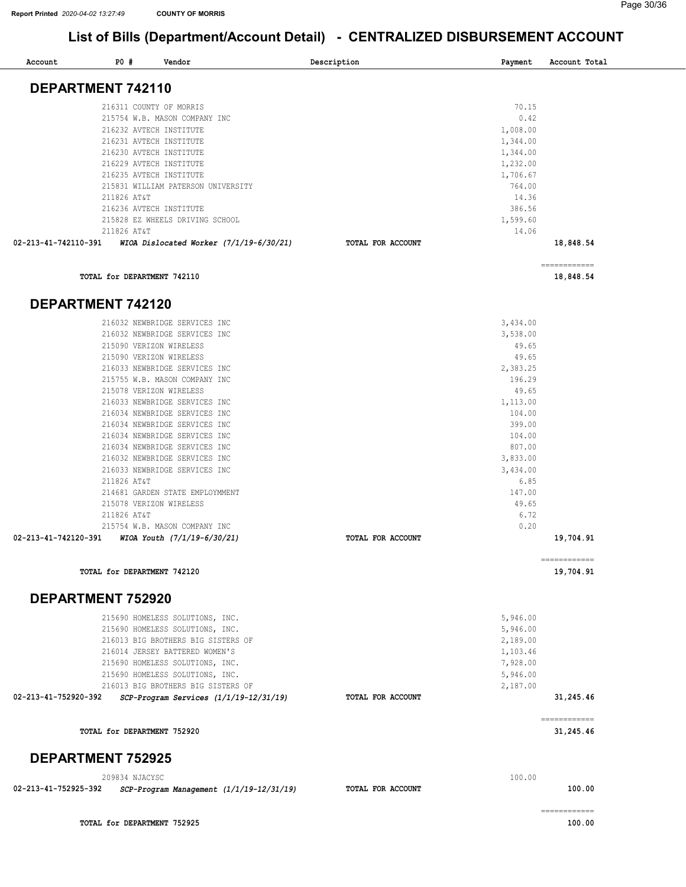| Account                  | <b>PO #</b> | Vendor                                                                       | Description       | Payment              | Account Total             |
|--------------------------|-------------|------------------------------------------------------------------------------|-------------------|----------------------|---------------------------|
| DEPARTMENT 742110        |             |                                                                              |                   |                      |                           |
|                          |             | 216311 COUNTY OF MORRIS                                                      |                   | 70.15                |                           |
|                          |             | 215754 W.B. MASON COMPANY INC                                                |                   | 0.42                 |                           |
|                          |             | 216232 AVTECH INSTITUTE                                                      |                   | 1,008.00             |                           |
|                          |             | 216231 AVTECH INSTITUTE<br>216230 AVTECH INSTITUTE                           |                   | 1,344.00<br>1,344.00 |                           |
|                          |             | 216229 AVTECH INSTITUTE                                                      |                   | 1,232.00             |                           |
|                          |             | 216235 AVTECH INSTITUTE                                                      |                   | 1,706.67             |                           |
|                          |             | 215831 WILLIAM PATERSON UNIVERSITY                                           |                   | 764.00               |                           |
|                          | 211826 AT&T |                                                                              |                   | 14.36                |                           |
|                          |             | 216236 AVTECH INSTITUTE                                                      |                   | 386.56               |                           |
|                          | 211826 AT&T | 215828 EZ WHEELS DRIVING SCHOOL                                              |                   | 1,599.60<br>14.06    |                           |
| 02-213-41-742110-391     |             | WIOA Dislocated Worker $(7/1/19-6/30/21)$                                    | TOTAL FOR ACCOUNT |                      | 18,848.54                 |
|                          |             |                                                                              |                   |                      | ============              |
|                          |             | TOTAL for DEPARTMENT 742110                                                  |                   |                      | 18,848.54                 |
| DEPARTMENT 742120        |             |                                                                              |                   |                      |                           |
|                          |             | 216032 NEWBRIDGE SERVICES INC                                                |                   | 3,434.00             |                           |
|                          |             | 216032 NEWBRIDGE SERVICES INC                                                |                   | 3,538.00<br>49.65    |                           |
|                          |             | 215090 VERIZON WIRELESS<br>215090 VERIZON WIRELESS                           |                   | 49.65                |                           |
|                          |             | 216033 NEWBRIDGE SERVICES INC                                                |                   | 2,383.25             |                           |
|                          |             | 215755 W.B. MASON COMPANY INC                                                |                   | 196.29               |                           |
|                          |             | 215078 VERIZON WIRELESS                                                      |                   | 49.65                |                           |
|                          |             | 216033 NEWBRIDGE SERVICES INC                                                |                   | 1,113.00             |                           |
|                          |             | 216034 NEWBRIDGE SERVICES INC                                                |                   | 104.00               |                           |
|                          |             | 216034 NEWBRIDGE SERVICES INC<br>216034 NEWBRIDGE SERVICES INC               |                   | 399.00<br>104.00     |                           |
|                          |             | 216034 NEWBRIDGE SERVICES INC                                                |                   | 807.00               |                           |
|                          |             | 216032 NEWBRIDGE SERVICES INC                                                |                   | 3,833.00             |                           |
|                          |             | 216033 NEWBRIDGE SERVICES INC                                                |                   | 3,434.00             |                           |
|                          | 211826 AT&T |                                                                              |                   | 6.85                 |                           |
|                          |             | 214681 GARDEN STATE EMPLOYMMENT                                              |                   | 147.00               |                           |
|                          |             | 215078 VERIZON WIRELESS                                                      |                   | 49.65<br>6.72        |                           |
|                          | 211826 AT&T | 215754 W.B. MASON COMPANY INC                                                |                   | 0.20                 |                           |
| 02-213-41-742120-391     |             | WIOA Youth (7/1/19-6/30/21)                                                  | TOTAL FOR ACCOUNT |                      | 19,704.91                 |
|                          |             | TOTAL for DEPARTMENT 742120                                                  |                   |                      | 19,704.91                 |
|                          |             |                                                                              |                   |                      |                           |
| <b>DEPARTMENT 752920</b> |             |                                                                              |                   | 5,946.00             |                           |
|                          |             | 215690 HOMELESS SOLUTIONS, INC.<br>215690 HOMELESS SOLUTIONS, INC.           |                   | 5,946.00             |                           |
|                          |             | 216013 BIG BROTHERS BIG SISTERS OF                                           |                   | 2,189.00             |                           |
|                          |             | 216014 JERSEY BATTERED WOMEN'S                                               |                   | 1,103.46             |                           |
|                          |             | 215690 HOMELESS SOLUTIONS, INC.                                              |                   | 7,928.00             |                           |
|                          |             | 215690 HOMELESS SOLUTIONS, INC.                                              |                   | 5,946.00             |                           |
| 02-213-41-752920-392     |             | 216013 BIG BROTHERS BIG SISTERS OF<br>SCP-Program Services (1/1/19-12/31/19) | TOTAL FOR ACCOUNT | 2,187.00             | 31,245.46                 |
|                          |             |                                                                              |                   |                      |                           |
|                          |             | TOTAL for DEPARTMENT 752920                                                  |                   |                      | ------------<br>31,245.46 |
| <b>DEPARTMENT 752925</b> |             |                                                                              |                   |                      |                           |
|                          |             | 209834 NJACYSC                                                               |                   | 100.00               |                           |
| 02-213-41-752925-392     |             | SCP-Program Management (1/1/19-12/31/19)                                     | TOTAL FOR ACCOUNT |                      | 100.00                    |
|                          |             |                                                                              |                   |                      | ============              |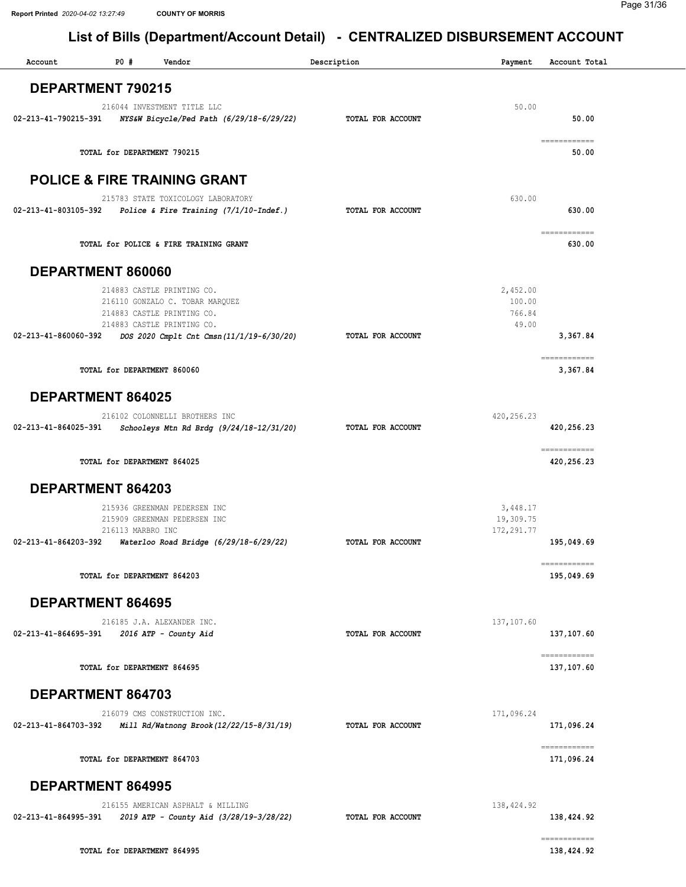| Account                  | P0#                         | Vendor                                                                                                                    | Description       | Payment                               | Account Total                                                                                                                                                                                                                                                                                                                                                                                                                                                                                   |
|--------------------------|-----------------------------|---------------------------------------------------------------------------------------------------------------------------|-------------------|---------------------------------------|-------------------------------------------------------------------------------------------------------------------------------------------------------------------------------------------------------------------------------------------------------------------------------------------------------------------------------------------------------------------------------------------------------------------------------------------------------------------------------------------------|
| <b>DEPARTMENT 790215</b> |                             |                                                                                                                           |                   |                                       |                                                                                                                                                                                                                                                                                                                                                                                                                                                                                                 |
|                          |                             |                                                                                                                           |                   |                                       |                                                                                                                                                                                                                                                                                                                                                                                                                                                                                                 |
| 02-213-41-790215-391     |                             | 216044 INVESTMENT TITLE LLC<br>NYS&W Bicycle/Ped Path (6/29/18-6/29/22)                                                   | TOTAL FOR ACCOUNT | 50.00                                 | 50.00                                                                                                                                                                                                                                                                                                                                                                                                                                                                                           |
|                          | TOTAL for DEPARTMENT 790215 |                                                                                                                           |                   |                                       | $\begin{array}{cccccccccc} \multicolumn{2}{c}{} & \multicolumn{2}{c}{} & \multicolumn{2}{c}{} & \multicolumn{2}{c}{} & \multicolumn{2}{c}{} & \multicolumn{2}{c}{} & \multicolumn{2}{c}{} & \multicolumn{2}{c}{} & \multicolumn{2}{c}{} & \multicolumn{2}{c}{} & \multicolumn{2}{c}{} & \multicolumn{2}{c}{} & \multicolumn{2}{c}{} & \multicolumn{2}{c}{} & \multicolumn{2}{c}{} & \multicolumn{2}{c}{} & \multicolumn{2}{c}{} & \multicolumn{2}{c}{} & \multicolumn{2}{c}{} & \mult$<br>50.00 |
|                          |                             | <b>POLICE &amp; FIRE TRAINING GRANT</b>                                                                                   |                   |                                       |                                                                                                                                                                                                                                                                                                                                                                                                                                                                                                 |
|                          |                             | 215783 STATE TOXICOLOGY LABORATORY<br>$02 - 213 - 41 - 803105 - 392$ Police & Fire Training (7/1/10-Indef.)               | TOTAL FOR ACCOUNT | 630.00                                | 630.00                                                                                                                                                                                                                                                                                                                                                                                                                                                                                          |
|                          |                             | TOTAL for POLICE & FIRE TRAINING GRANT                                                                                    |                   |                                       | ============<br>630.00                                                                                                                                                                                                                                                                                                                                                                                                                                                                          |
| DEPARTMENT 860060        |                             |                                                                                                                           |                   |                                       |                                                                                                                                                                                                                                                                                                                                                                                                                                                                                                 |
|                          |                             | 214883 CASTLE PRINTING CO.<br>216110 GONZALO C. TOBAR MARQUEZ<br>214883 CASTLE PRINTING CO.<br>214883 CASTLE PRINTING CO. |                   | 2,452.00<br>100.00<br>766.84<br>49.00 |                                                                                                                                                                                                                                                                                                                                                                                                                                                                                                 |
| 02-213-41-860060-392     |                             | DOS 2020 Cmplt Cnt Cmsn(11/1/19-6/30/20)                                                                                  | TOTAL FOR ACCOUNT |                                       | 3,367.84                                                                                                                                                                                                                                                                                                                                                                                                                                                                                        |
|                          | TOTAL for DEPARTMENT 860060 |                                                                                                                           |                   |                                       | ============<br>3,367.84                                                                                                                                                                                                                                                                                                                                                                                                                                                                        |
| <b>DEPARTMENT 864025</b> |                             |                                                                                                                           |                   |                                       |                                                                                                                                                                                                                                                                                                                                                                                                                                                                                                 |
| 02-213-41-864025-391     |                             | 216102 COLONNELLI BROTHERS INC<br>Schooleys Mtn Rd Brdg (9/24/18-12/31/20)                                                | TOTAL FOR ACCOUNT | 420, 256.23                           | 420, 256. 23                                                                                                                                                                                                                                                                                                                                                                                                                                                                                    |
|                          | TOTAL for DEPARTMENT 864025 |                                                                                                                           |                   |                                       | ============<br>420,256.23                                                                                                                                                                                                                                                                                                                                                                                                                                                                      |
| DEPARTMENT 864203        |                             |                                                                                                                           |                   |                                       |                                                                                                                                                                                                                                                                                                                                                                                                                                                                                                 |
|                          |                             | 215936 GREENMAN PEDERSEN INC<br>215909 GREENMAN PEDERSEN INC                                                              |                   | 3,448.17<br>19,309.75                 |                                                                                                                                                                                                                                                                                                                                                                                                                                                                                                 |
| 02-213-41-864203-392     | 216113 MARBRO INC           | Waterloo Road Bridge (6/29/18-6/29/22)                                                                                    | TOTAL FOR ACCOUNT | 172, 291.77                           | 195,049.69                                                                                                                                                                                                                                                                                                                                                                                                                                                                                      |
|                          | TOTAL for DEPARTMENT 864203 |                                                                                                                           |                   |                                       | ============<br>195,049.69                                                                                                                                                                                                                                                                                                                                                                                                                                                                      |
| DEPARTMENT 864695        |                             |                                                                                                                           |                   |                                       |                                                                                                                                                                                                                                                                                                                                                                                                                                                                                                 |
| 02-213-41-864695-391     |                             | 216185 J.A. ALEXANDER INC.<br>2016 ATP - County Aid                                                                       | TOTAL FOR ACCOUNT | 137, 107.60                           | 137,107.60                                                                                                                                                                                                                                                                                                                                                                                                                                                                                      |
|                          | TOTAL for DEPARTMENT 864695 |                                                                                                                           |                   |                                       | ------------<br>137,107.60                                                                                                                                                                                                                                                                                                                                                                                                                                                                      |
| DEPARTMENT 864703        |                             |                                                                                                                           |                   |                                       |                                                                                                                                                                                                                                                                                                                                                                                                                                                                                                 |
| 02-213-41-864703-392     |                             | 216079 CMS CONSTRUCTION INC.<br>Mill Rd/Watnong Brook (12/22/15-8/31/19)                                                  | TOTAL FOR ACCOUNT | 171,096.24                            | 171,096.24                                                                                                                                                                                                                                                                                                                                                                                                                                                                                      |
|                          | TOTAL for DEPARTMENT 864703 |                                                                                                                           |                   |                                       | ------------<br>171,096.24                                                                                                                                                                                                                                                                                                                                                                                                                                                                      |
| <b>DEPARTMENT 864995</b> |                             |                                                                                                                           |                   |                                       |                                                                                                                                                                                                                                                                                                                                                                                                                                                                                                 |
| 02-213-41-864995-391     |                             | 216155 AMERICAN ASPHALT & MILLING<br>2019 ATP - County Aid (3/28/19-3/28/22)                                              | TOTAL FOR ACCOUNT | 138,424.92                            | 138,424.92                                                                                                                                                                                                                                                                                                                                                                                                                                                                                      |
|                          | TOTAL for DEPARTMENT 864995 |                                                                                                                           |                   |                                       | ------------<br>138,424.92                                                                                                                                                                                                                                                                                                                                                                                                                                                                      |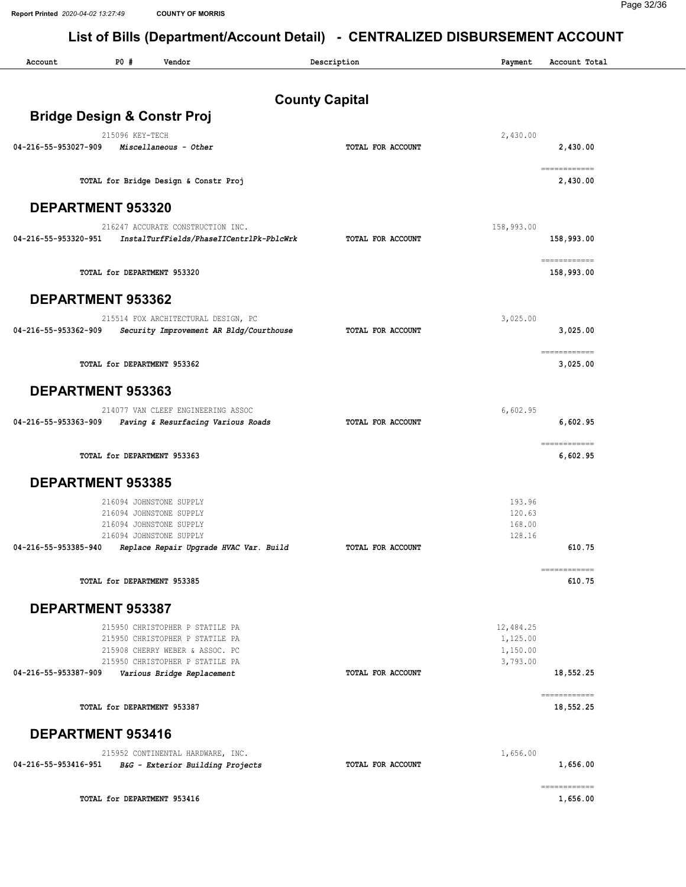| Account                  | <b>PO #</b><br>Vendor                                              | Description           | Payment              | Account Total              |
|--------------------------|--------------------------------------------------------------------|-----------------------|----------------------|----------------------------|
|                          |                                                                    | <b>County Capital</b> |                      |                            |
|                          | <b>Bridge Design &amp; Constr Proj</b>                             |                       |                      |                            |
|                          | 215096 KEY-TECH                                                    |                       | 2,430.00             |                            |
| 04-216-55-953027-909     | Miscellaneous - Other                                              | TOTAL FOR ACCOUNT     |                      | 2,430.00                   |
|                          | TOTAL for Bridge Design & Constr Proj                              |                       |                      | ------------<br>2,430.00   |
| DEPARTMENT 953320        |                                                                    |                       |                      |                            |
|                          | 216247 ACCURATE CONSTRUCTION INC.                                  |                       | 158,993.00           |                            |
| 04-216-55-953320-951     | InstalTurfFields/PhaseIICentrlPk-PblcWrk                           | TOTAL FOR ACCOUNT     |                      | 158,993.00                 |
|                          | TOTAL for DEPARTMENT 953320                                        |                       |                      | ============<br>158,993.00 |
| <b>DEPARTMENT 953362</b> |                                                                    |                       |                      |                            |
| 04-216-55-953362-909     | 215514 FOX ARCHITECTURAL DESIGN, PC                                | TOTAL FOR ACCOUNT     | 3,025.00             | 3,025.00                   |
|                          | Security Improvement AR Bldg/Courthouse                            |                       |                      | ============               |
|                          | TOTAL for DEPARTMENT 953362                                        |                       |                      | 3,025.00                   |
| DEPARTMENT 953363        |                                                                    |                       |                      |                            |
|                          | 214077 VAN CLEEF ENGINEERING ASSOC                                 |                       | 6,602.95             |                            |
| 04-216-55-953363-909     | Paving & Resurfacing Various Roads                                 | TOTAL FOR ACCOUNT     |                      | 6,602.95                   |
|                          | TOTAL for DEPARTMENT 953363                                        |                       |                      | ============<br>6,602.95   |
| <b>DEPARTMENT 953385</b> |                                                                    |                       |                      |                            |
|                          | 216094 JOHNSTONE SUPPLY                                            |                       | 193.96               |                            |
|                          | 216094 JOHNSTONE SUPPLY<br>216094 JOHNSTONE SUPPLY                 |                       | 120.63<br>168.00     |                            |
|                          | 216094 JOHNSTONE SUPPLY                                            |                       | 128.16               |                            |
| 04-216-55-953385-940     | Replace Repair Upgrade HVAC Var. Build                             | TOTAL FOR ACCOUNT     |                      | 610.75                     |
|                          | TOTAL for DEPARTMENT 953385                                        |                       |                      | ============<br>610.75     |
| <b>DEPARTMENT 953387</b> |                                                                    |                       |                      |                            |
|                          | 215950 CHRISTOPHER P STATILE PA                                    |                       | 12,484.25            |                            |
|                          | 215950 CHRISTOPHER P STATILE PA                                    |                       | 1,125.00             |                            |
|                          | 215908 CHERRY WEBER & ASSOC. PC<br>215950 CHRISTOPHER P STATILE PA |                       | 1,150.00<br>3,793.00 |                            |
| 04-216-55-953387-909     | Various Bridge Replacement                                         | TOTAL FOR ACCOUNT     |                      | 18,552.25                  |
|                          | TOTAL for DEPARTMENT 953387                                        |                       |                      | ============<br>18,552.25  |
| DEPARTMENT 953416        |                                                                    |                       |                      |                            |
|                          | 215952 CONTINENTAL HARDWARE, INC.                                  |                       | 1,656.00             |                            |
| 04-216-55-953416-951     | B&G - Exterior Building Projects                                   | TOTAL FOR ACCOUNT     |                      | 1,656.00                   |
|                          | TOTAL for DEPARTMENT 953416                                        |                       |                      | ============<br>1,656.00   |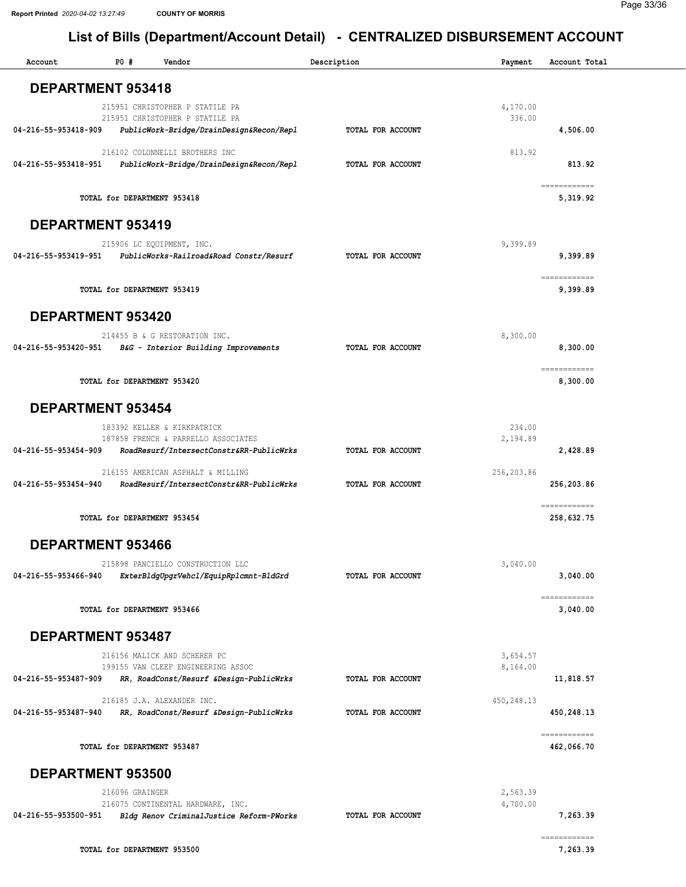| Account                  | P0#                         | Vendor                                                                                                         | Description       | Payment              | Account Total              |
|--------------------------|-----------------------------|----------------------------------------------------------------------------------------------------------------|-------------------|----------------------|----------------------------|
| DEPARTMENT 953418        |                             |                                                                                                                |                   |                      |                            |
|                          |                             | 215951 CHRISTOPHER P STATILE PA                                                                                |                   | 4,170.00             |                            |
| 04-216-55-953418-909     |                             | 215951 CHRISTOPHER P STATILE PA<br>PublicWork-Bridge/DrainDesign&Recon/Repl                                    | TOTAL FOR ACCOUNT | 336.00               | 4,506.00                   |
| 04-216-55-953418-951     |                             | 216102 COLONNELLI BROTHERS INC<br>PublicWork-Bridge/DrainDesign&Recon/Repl                                     | TOTAL FOR ACCOUNT | 813.92               | 813.92                     |
|                          | TOTAL for DEPARTMENT 953418 |                                                                                                                |                   |                      | ============<br>5,319.92   |
| DEPARTMENT 953419        |                             |                                                                                                                |                   |                      |                            |
|                          |                             | 215906 LC EQUIPMENT, INC.                                                                                      |                   | 9,399.89             |                            |
| 04-216-55-953419-951     |                             | PublicWorks-Railroad&Road Constr/Resurf                                                                        | TOTAL FOR ACCOUNT |                      | 9,399.89                   |
|                          | TOTAL for DEPARTMENT 953419 |                                                                                                                |                   |                      | ------------<br>9,399.89   |
| DEPARTMENT 953420        |                             |                                                                                                                |                   |                      |                            |
| 04-216-55-953420-951     |                             | 214455 B & G RESTORATION INC.<br>B&G - Interior Building Improvements                                          | TOTAL FOR ACCOUNT | 8,300.00             | 8,300.00                   |
|                          | TOTAL for DEPARTMENT 953420 |                                                                                                                |                   |                      | ============<br>8,300.00   |
| <b>DEPARTMENT 953454</b> |                             |                                                                                                                |                   |                      |                            |
| 04-216-55-953454-909     |                             | 183392 KELLER & KIRKPATRICK<br>187858 FRENCH & PARRELLO ASSOCIATES<br>RoadResurf/IntersectConstr&RR-PublicWrks | TOTAL FOR ACCOUNT | 234.00<br>2,194.89   | 2,428.89                   |
|                          |                             | 216155 AMERICAN ASPHALT & MILLING                                                                              |                   | 256,203.86           |                            |
| 04-216-55-953454-940     |                             | RoadResurf/IntersectConstr&RR-PublicWrks                                                                       | TOTAL FOR ACCOUNT |                      | 256,203.86                 |
|                          | TOTAL for DEPARTMENT 953454 |                                                                                                                |                   |                      | ============<br>258,632.75 |
| DEPARTMENT 953466        |                             |                                                                                                                |                   |                      |                            |
| 04-216-55-953466-940     |                             | 215898 PANCIELLO CONSTRUCTION LLC<br>ExterBldgUpgrVehcl/EquipRplcmnt-BldGrd                                    | TOTAL FOR ACCOUNT | 3,040.00             | 3,040.00                   |
|                          | TOTAL for DEPARTMENT 953466 |                                                                                                                |                   |                      | ============<br>3,040.00   |
| DEPARTMENT 953487        |                             |                                                                                                                |                   |                      |                            |
|                          |                             | 216156 MALICK AND SCHERER PC                                                                                   |                   | 3,654.57             |                            |
| 04-216-55-953487-909     |                             | 199155 VAN CLEEF ENGINEERING ASSOC<br>RR, RoadConst/Resurf &Design-PublicWrks                                  | TOTAL FOR ACCOUNT | 8,164.00             | 11,818.57                  |
| 04-216-55-953487-940     |                             | 216185 J.A. ALEXANDER INC.<br>RR, RoadConst/Resurf &Design-PublicWrks                                          | TOTAL FOR ACCOUNT | 450,248.13           | 450,248.13                 |
|                          | TOTAL for DEPARTMENT 953487 |                                                                                                                |                   |                      | ------------<br>462,066.70 |
| DEPARTMENT 953500        |                             |                                                                                                                |                   |                      |                            |
| 04-216-55-953500-951     | 216096 GRAINGER             | 216075 CONTINENTAL HARDWARE, INC.<br>Bldg Renov CriminalJustice Reform-PWorks                                  | TOTAL FOR ACCOUNT | 2,563.39<br>4,700.00 | 7,263.39                   |
|                          |                             |                                                                                                                |                   |                      | ============               |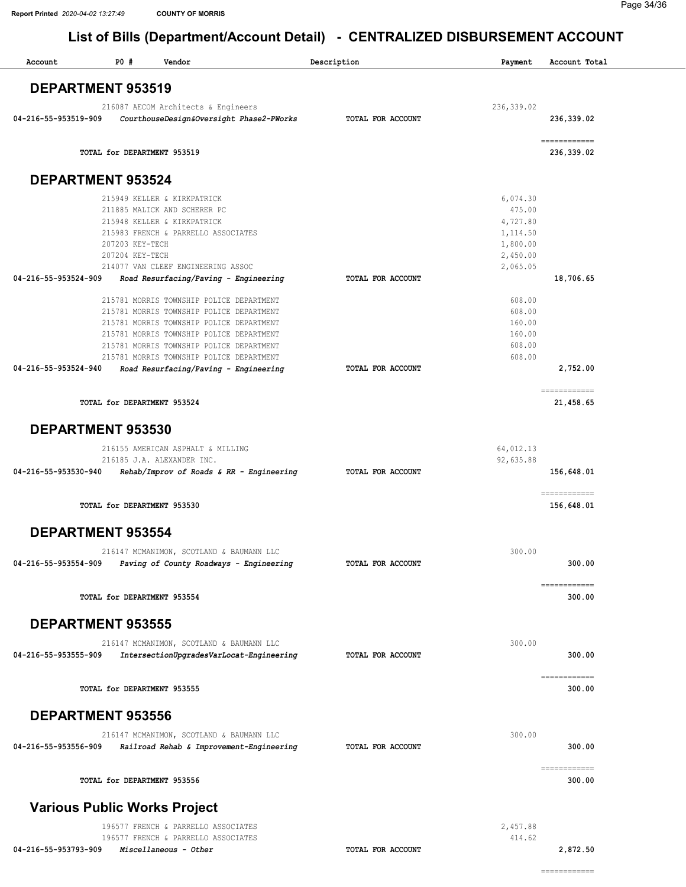| <b>PO #</b><br>Vendor<br>Account                                                                                                                                                                                                                                     | Description       | Payment                                                                        | Account Total              |
|----------------------------------------------------------------------------------------------------------------------------------------------------------------------------------------------------------------------------------------------------------------------|-------------------|--------------------------------------------------------------------------------|----------------------------|
| <b>DEPARTMENT 953519</b>                                                                                                                                                                                                                                             |                   |                                                                                |                            |
| 216087 AECOM Architects & Engineers<br>04-216-55-953519-909<br>CourthouseDesign&Oversight Phase2-PWorks                                                                                                                                                              | TOTAL FOR ACCOUNT | 236, 339.02                                                                    | 236,339.02                 |
| TOTAL for DEPARTMENT 953519                                                                                                                                                                                                                                          |                   |                                                                                | ------------<br>236,339.02 |
| <b>DEPARTMENT 953524</b>                                                                                                                                                                                                                                             |                   |                                                                                |                            |
| 215949 KELLER & KIRKPATRICK<br>211885 MALICK AND SCHERER PC<br>215948 KELLER & KIRKPATRICK<br>215983 FRENCH & PARRELLO ASSOCIATES<br>207203 KEY-TECH<br>207204 KEY-TECH<br>214077 VAN CLEEF ENGINEERING ASSOC                                                        |                   | 6,074.30<br>475.00<br>4,727.80<br>1,114.50<br>1,800.00<br>2,450.00<br>2,065.05 |                            |
| 04-216-55-953524-909<br>Road Resurfacing/Paving - Engineering                                                                                                                                                                                                        | TOTAL FOR ACCOUNT |                                                                                | 18,706.65                  |
| 215781 MORRIS TOWNSHIP POLICE DEPARTMENT<br>215781 MORRIS TOWNSHIP POLICE DEPARTMENT<br>215781 MORRIS TOWNSHIP POLICE DEPARTMENT<br>215781 MORRIS TOWNSHIP POLICE DEPARTMENT<br>215781 MORRIS TOWNSHIP POLICE DEPARTMENT<br>215781 MORRIS TOWNSHIP POLICE DEPARTMENT |                   | 608.00<br>608.00<br>160.00<br>160.00<br>608.00<br>608.00                       |                            |
| Road Resurfacing/Paving - Engineering<br>04-216-55-953524-940                                                                                                                                                                                                        | TOTAL FOR ACCOUNT |                                                                                | 2,752.00                   |
| TOTAL for DEPARTMENT 953524                                                                                                                                                                                                                                          |                   |                                                                                | ============<br>21,458.65  |
| DEPARTMENT 953530                                                                                                                                                                                                                                                    |                   |                                                                                |                            |
| 216155 AMERICAN ASPHALT & MILLING                                                                                                                                                                                                                                    |                   | 64,012.13                                                                      |                            |
| 216185 J.A. ALEXANDER INC.<br>04-216-55-953530-940<br>Rehab/Improv of Roads & RR - Engineering                                                                                                                                                                       | TOTAL FOR ACCOUNT | 92,635.88                                                                      | 156,648.01                 |
| TOTAL for DEPARTMENT 953530                                                                                                                                                                                                                                          |                   |                                                                                | ============<br>156,648.01 |
| <b>DEPARTMENT 953554</b>                                                                                                                                                                                                                                             |                   |                                                                                |                            |
| 216147 MCMANIMON, SCOTLAND & BAUMANN LLC<br>04-216-55-953554-909<br>Paving of County Roadways - Engineering                                                                                                                                                          | TOTAL FOR ACCOUNT | 300.00                                                                         | 300.00                     |
| TOTAL for DEPARTMENT 953554                                                                                                                                                                                                                                          |                   |                                                                                | ============<br>300.00     |
| <b>DEPARTMENT 953555</b>                                                                                                                                                                                                                                             |                   |                                                                                |                            |
| 216147 MCMANIMON, SCOTLAND & BAUMANN LLC<br>04-216-55-953555-909<br>IntersectionUpgradesVarLocat-Engineering                                                                                                                                                         | TOTAL FOR ACCOUNT | 300.00                                                                         | 300.00                     |
| TOTAL for DEPARTMENT 953555                                                                                                                                                                                                                                          |                   |                                                                                | ============<br>300.00     |
| <b>DEPARTMENT 953556</b>                                                                                                                                                                                                                                             |                   |                                                                                |                            |
| 216147 MCMANIMON, SCOTLAND & BAUMANN LLC<br>04-216-55-953556-909<br>Railroad Rehab & Improvement-Engineering                                                                                                                                                         | TOTAL FOR ACCOUNT | 300.00                                                                         | 300.00                     |
| TOTAL for DEPARTMENT 953556                                                                                                                                                                                                                                          |                   |                                                                                | ============<br>300.00     |
| <b>Various Public Works Project</b>                                                                                                                                                                                                                                  |                   |                                                                                |                            |
| 196577 FRENCH & PARRELLO ASSOCIATES<br>196577 FRENCH & PARRELLO ASSOCIATES<br>04-216-55-953793-909<br>Miscellaneous - Other                                                                                                                                          | TOTAL FOR ACCOUNT | 2,457.88<br>414.62                                                             | 2,872.50                   |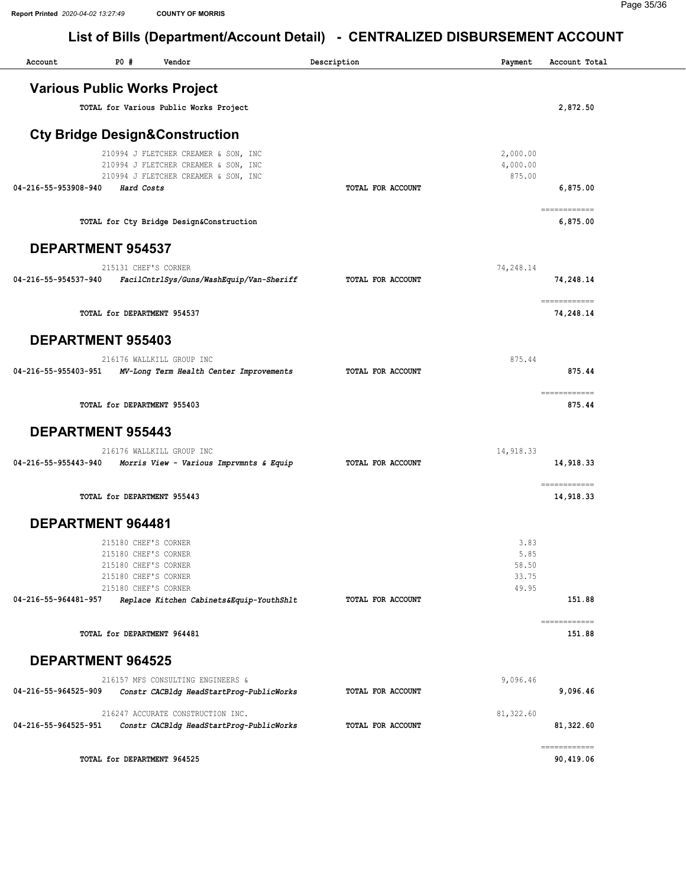| Account                  | P0#                                                                                                                  | Vendor                                                                                                               | Description       | Payment                                 | Account Total             |
|--------------------------|----------------------------------------------------------------------------------------------------------------------|----------------------------------------------------------------------------------------------------------------------|-------------------|-----------------------------------------|---------------------------|
|                          |                                                                                                                      | <b>Various Public Works Project</b>                                                                                  |                   |                                         |                           |
|                          |                                                                                                                      | TOTAL for Various Public Works Project                                                                               |                   |                                         | 2,872.50                  |
|                          |                                                                                                                      | <b>Cty Bridge Design&amp;Construction</b>                                                                            |                   |                                         |                           |
| 04-216-55-953908-940     | Hard Costs                                                                                                           | 210994 J FLETCHER CREAMER & SON, INC<br>210994 J FLETCHER CREAMER & SON, INC<br>210994 J FLETCHER CREAMER & SON, INC | TOTAL FOR ACCOUNT | 2,000.00<br>4,000.00<br>875.00          | 6,875.00                  |
|                          |                                                                                                                      | TOTAL for Cty Bridge Design&Construction                                                                             |                   |                                         | ------------<br>6,875.00  |
| <b>DEPARTMENT 954537</b> |                                                                                                                      |                                                                                                                      |                   |                                         |                           |
| 04-216-55-954537-940     | 215131 CHEF'S CORNER                                                                                                 | FacilCntrlSys/Guns/WashEquip/Van-Sheriff                                                                             | TOTAL FOR ACCOUNT | 74,248.14                               | 74,248.14                 |
|                          | TOTAL for DEPARTMENT 954537                                                                                          |                                                                                                                      |                   |                                         | ============<br>74,248.14 |
| <b>DEPARTMENT 955403</b> |                                                                                                                      |                                                                                                                      |                   |                                         |                           |
| 04-216-55-955403-951     |                                                                                                                      | 216176 WALLKILL GROUP INC<br>MV-Long Term Health Center Improvements                                                 | TOTAL FOR ACCOUNT | 875.44                                  | 875.44                    |
|                          | TOTAL for DEPARTMENT 955403                                                                                          |                                                                                                                      |                   |                                         | ------------<br>875.44    |
| <b>DEPARTMENT 955443</b> |                                                                                                                      |                                                                                                                      |                   |                                         |                           |
| 04-216-55-955443-940     |                                                                                                                      | 216176 WALLKILL GROUP INC<br>Morris View - Various Imprvmnts & Equip                                                 | TOTAL FOR ACCOUNT | 14,918.33                               | 14,918.33                 |
|                          | TOTAL for DEPARTMENT 955443                                                                                          |                                                                                                                      |                   |                                         | ============<br>14,918.33 |
| <b>DEPARTMENT 964481</b> |                                                                                                                      |                                                                                                                      |                   |                                         |                           |
| 04-216-55-964481-957     | 215180 CHEF'S CORNER<br>215180 CHEF'S CORNER<br>215180 CHEF'S CORNER<br>215180 CHEF'S CORNER<br>215180 CHEF'S CORNER | Replace Kitchen Cabinets&Equip-YouthShlt                                                                             | TOTAL FOR ACCOUNT | 3.83<br>5.85<br>58.50<br>33.75<br>49.95 | 151.88                    |
|                          | TOTAL for DEPARTMENT 964481                                                                                          |                                                                                                                      |                   |                                         | ============<br>151.88    |
| <b>DEPARTMENT 964525</b> |                                                                                                                      |                                                                                                                      |                   |                                         |                           |
| 04-216-55-964525-909     |                                                                                                                      | 216157 MFS CONSULTING ENGINEERS &<br>Constr CACBldg HeadStartProg-PublicWorks                                        | TOTAL FOR ACCOUNT | 9,096.46                                | 9,096.46                  |
| 04-216-55-964525-951     |                                                                                                                      | 216247 ACCURATE CONSTRUCTION INC.<br>Constr CACBldg HeadStartProg-PublicWorks                                        | TOTAL FOR ACCOUNT | 81,322.60                               | 81,322.60                 |
|                          | TOTAL for DEPARTMENT 964525                                                                                          |                                                                                                                      |                   |                                         | ------------<br>90,419.06 |